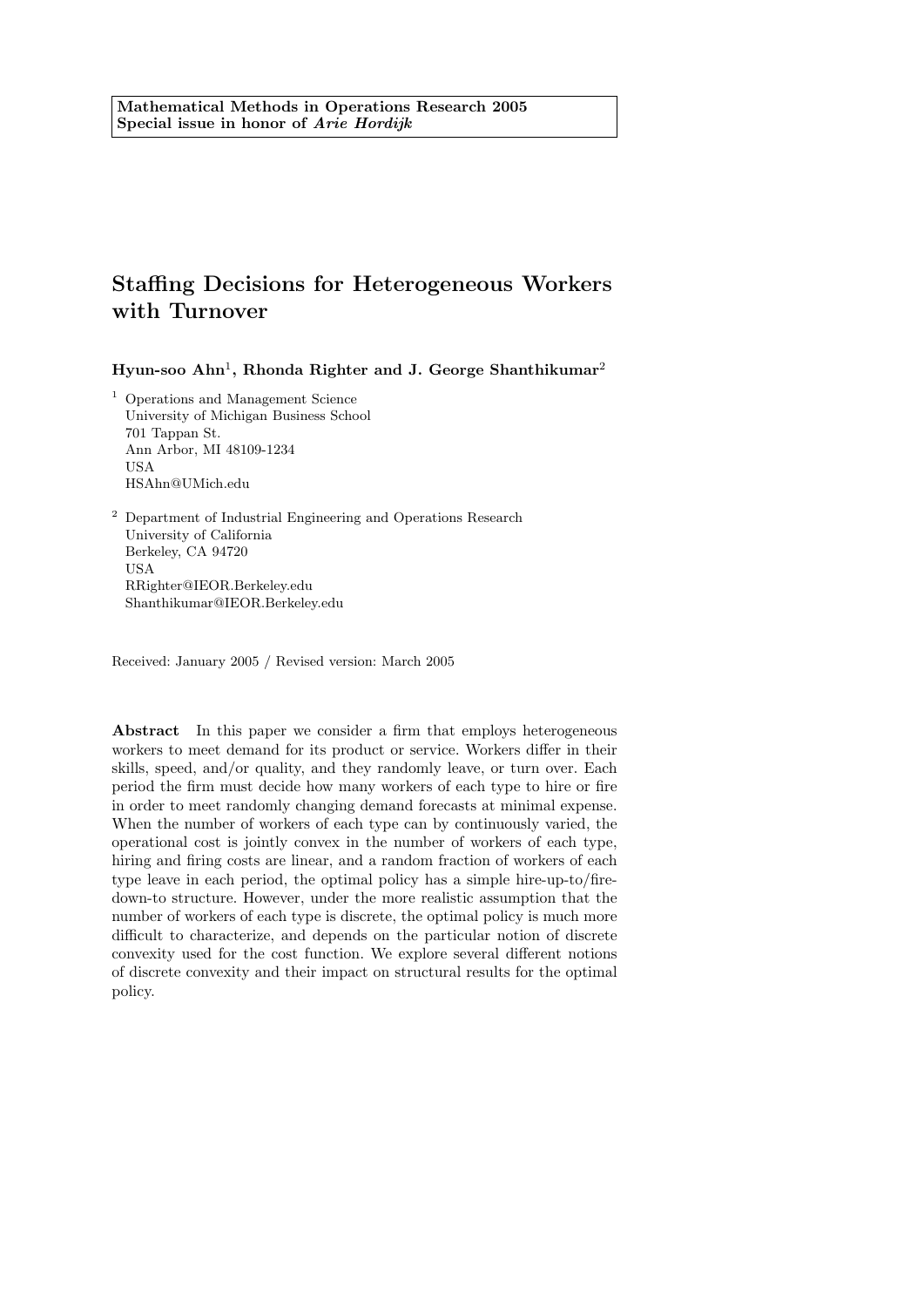# Staffing Decisions for Heterogeneous Workers with Turnover

Hyun-soo Ahn<sup>1</sup>, Rhonda Righter and J. George Shanthikumar<sup>2</sup>

<sup>1</sup> Operations and Management Science University of Michigan Business School 701 Tappan St. Ann Arbor, MI 48109-1234 USA HSAhn@UMich.edu

<sup>2</sup> Department of Industrial Engineering and Operations Research University of California Berkeley, CA 94720 USA RRighter@IEOR.Berkeley.edu Shanthikumar@IEOR.Berkeley.edu

Received: January 2005 / Revised version: March 2005

Abstract In this paper we consider a firm that employs heterogeneous workers to meet demand for its product or service. Workers differ in their skills, speed, and/or quality, and they randomly leave, or turn over. Each period the firm must decide how many workers of each type to hire or fire in order to meet randomly changing demand forecasts at minimal expense. When the number of workers of each type can by continuously varied, the operational cost is jointly convex in the number of workers of each type, hiring and firing costs are linear, and a random fraction of workers of each type leave in each period, the optimal policy has a simple hire-up-to/firedown-to structure. However, under the more realistic assumption that the number of workers of each type is discrete, the optimal policy is much more difficult to characterize, and depends on the particular notion of discrete convexity used for the cost function. We explore several different notions of discrete convexity and their impact on structural results for the optimal policy.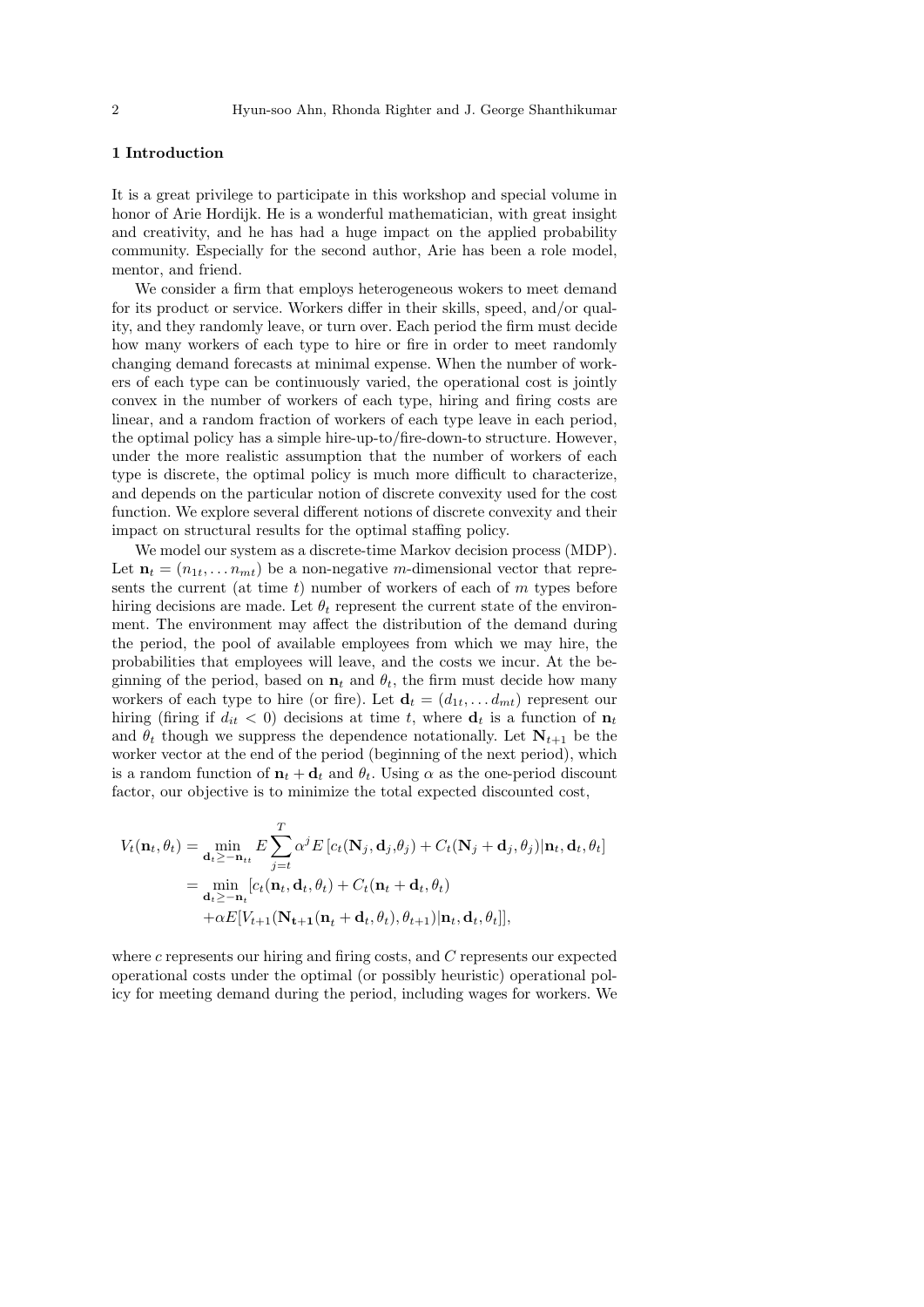## 1 Introduction

It is a great privilege to participate in this workshop and special volume in honor of Arie Hordijk. He is a wonderful mathematician, with great insight and creativity, and he has had a huge impact on the applied probability community. Especially for the second author, Arie has been a role model, mentor, and friend.

We consider a firm that employs heterogeneous wokers to meet demand for its product or service. Workers differ in their skills, speed, and/or quality, and they randomly leave, or turn over. Each period the firm must decide how many workers of each type to hire or fire in order to meet randomly changing demand forecasts at minimal expense. When the number of workers of each type can be continuously varied, the operational cost is jointly convex in the number of workers of each type, hiring and firing costs are linear, and a random fraction of workers of each type leave in each period, the optimal policy has a simple hire-up-to/fire-down-to structure. However, under the more realistic assumption that the number of workers of each type is discrete, the optimal policy is much more difficult to characterize, and depends on the particular notion of discrete convexity used for the cost function. We explore several different notions of discrete convexity and their impact on structural results for the optimal staffing policy.

We model our system as a discrete-time Markov decision process (MDP). Let  $\mathbf{n}_t = (n_{1t}, \dots n_{mt})$  be a non-negative m-dimensional vector that represents the current (at time  $t$ ) number of workers of each of  $m$  types before hiring decisions are made. Let  $\theta_t$  represent the current state of the environment. The environment may affect the distribution of the demand during the period, the pool of available employees from which we may hire, the probabilities that employees will leave, and the costs we incur. At the beginning of the period, based on  $n_t$  and  $\theta_t$ , the firm must decide how many workers of each type to hire (or fire). Let  $\mathbf{d}_t = (d_{1t}, \ldots d_{mt})$  represent our hiring (firing if  $d_{it} < 0$ ) decisions at time t, where  $\mathbf{d}_t$  is a function of  $\mathbf{n}_t$ and  $\theta_t$  though we suppress the dependence notationally. Let  $N_{t+1}$  be the worker vector at the end of the period (beginning of the next period), which is a random function of  $\mathbf{n}_t + \mathbf{d}_t$  and  $\theta_t$ . Using  $\alpha$  as the one-period discount factor, our objective is to minimize the total expected discounted cost,

$$
V_t(\mathbf{n}_t, \theta_t) = \min_{\mathbf{d}_t \ge -\mathbf{n}_{tt}} E \sum_{j=t}^T \alpha^j E \left[ c_t(\mathbf{N}_j, \mathbf{d}_j, \theta_j) + C_t(\mathbf{N}_j + \mathbf{d}_j, \theta_j) | \mathbf{n}_t, \mathbf{d}_t, \theta_t \right]
$$
  
= 
$$
\min_{\mathbf{d}_t \ge -\mathbf{n}_t} \left[ c_t(\mathbf{n}_t, \mathbf{d}_t, \theta_t) + C_t(\mathbf{n}_t + \mathbf{d}_t, \theta_t) + C_t(\mathbf{n}_t + \mathbf{n}_t, \theta_t) \right]
$$
  
+ 
$$
\alpha E[V_{t+1}(\mathbf{N}_{t+1}(\mathbf{n}_t + \mathbf{d}_t, \theta_t), \theta_{t+1}) | \mathbf{n}_t, \mathbf{d}_t, \theta_t]],
$$

where c represents our hiring and firing costs, and C represents our expected operational costs under the optimal (or possibly heuristic) operational policy for meeting demand during the period, including wages for workers. We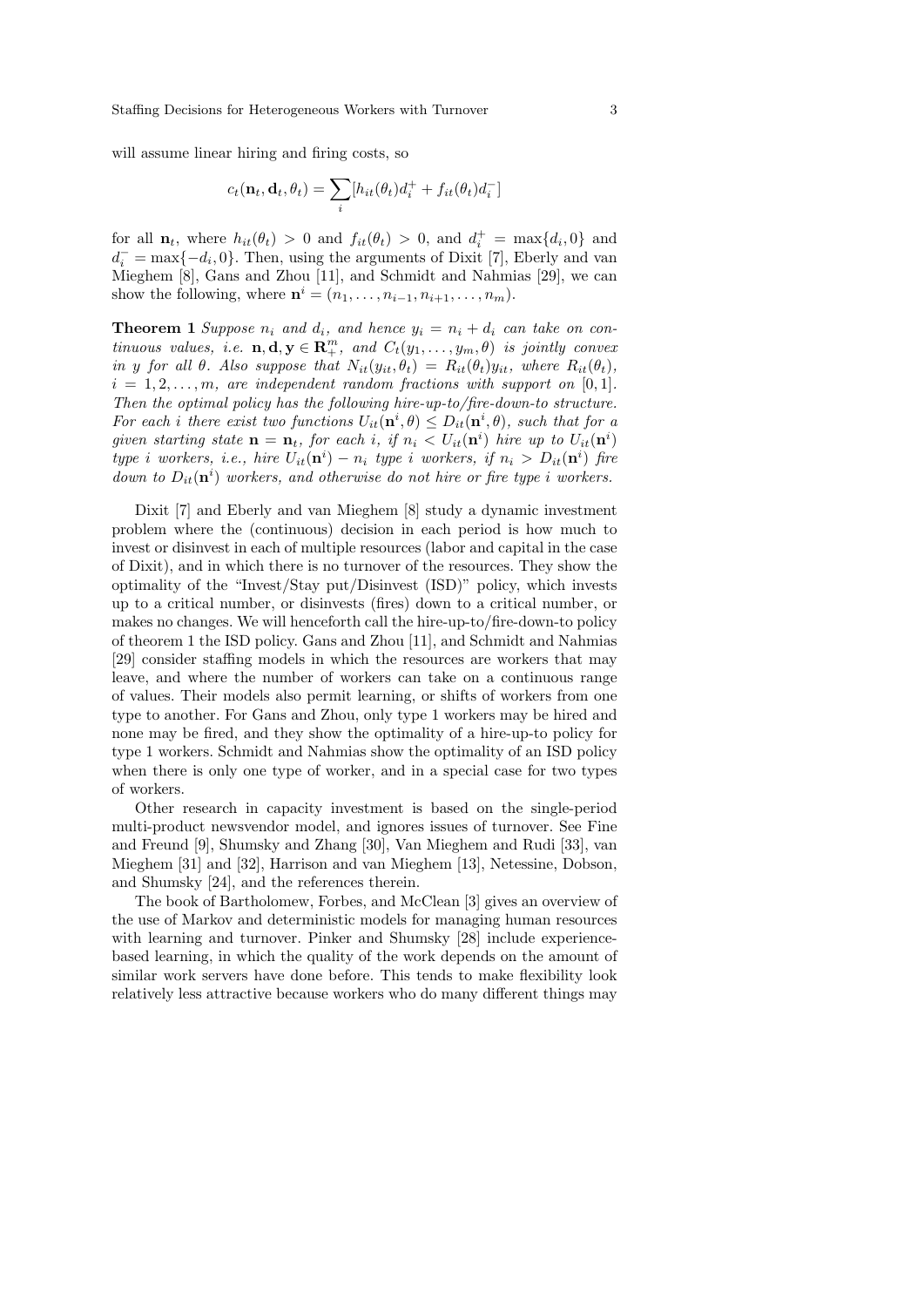will assume linear hiring and firing costs, so

$$
c_t(\mathbf{n}_t, \mathbf{d}_t, \theta_t) = \sum_i [h_{it}(\theta_t)d_i^+ + f_{it}(\theta_t)d_i^-]
$$

for all  $\mathbf{n}_t$ , where  $h_{it}(\theta_t) > 0$  and  $f_{it}(\theta_t) > 0$ , and  $d_i^+ = \max\{d_i, 0\}$  and  $d_i^- = \max\{-d_i, 0\}$ . Then, using the arguments of Dixit [7], Eberly and van Mieghem [8], Gans and Zhou [11], and Schmidt and Nahmias [29], we can show the following, where  $\mathbf{n}^i = (n_1, \ldots, n_{i-1}, n_{i+1}, \ldots, n_m)$ .

**Theorem 1** Suppose  $n_i$  and  $d_i$ , and hence  $y_i = n_i + d_i$  can take on continuous values, i.e.  $\mathbf{n}, \mathbf{d}, \mathbf{y} \in \mathbb{R}_+^m$ , and  $C_t(y_1, \ldots, y_m, \theta)$  is jointly convex in y for all  $\theta$ . Also suppose that  $N_{it}(y_{it}, \theta_t) = R_{it}(\theta_t)y_{it}$ , where  $R_{it}(\theta_t)$ ,  $i = 1, 2, \ldots, m$ , are independent random fractions with support on [0, 1]. Then the optimal policy has the following hire-up-to/fire-down-to structure. For each i there exist two functions  $U_{it}(\mathbf{n}^i, \theta) \leq D_{it}(\mathbf{n}^i, \theta)$ , such that for a given starting state  $\mathbf{n} = \mathbf{n}_t$ , for each i, if  $n_i < U_{it}(\mathbf{n}^i)$  hire up to  $U_{it}(\mathbf{n}^i)$ type i workers, i.e., hire  $U_{it}(\mathbf{n}^i) - n_i$  type i workers, if  $n_i > D_{it}(\mathbf{n}^i)$  fire down to  $D_{it}(\mathbf{n}^i)$  workers, and otherwise do not hire or fire type i workers.

Dixit [7] and Eberly and van Mieghem [8] study a dynamic investment problem where the (continuous) decision in each period is how much to invest or disinvest in each of multiple resources (labor and capital in the case of Dixit), and in which there is no turnover of the resources. They show the optimality of the "Invest/Stay put/Disinvest (ISD)" policy, which invests up to a critical number, or disinvests (fires) down to a critical number, or makes no changes. We will henceforth call the hire-up-to/fire-down-to policy of theorem 1 the ISD policy. Gans and Zhou [11], and Schmidt and Nahmias [29] consider staffing models in which the resources are workers that may leave, and where the number of workers can take on a continuous range of values. Their models also permit learning, or shifts of workers from one type to another. For Gans and Zhou, only type 1 workers may be hired and none may be fired, and they show the optimality of a hire-up-to policy for type 1 workers. Schmidt and Nahmias show the optimality of an ISD policy when there is only one type of worker, and in a special case for two types of workers.

Other research in capacity investment is based on the single-period multi-product newsvendor model, and ignores issues of turnover. See Fine and Freund [9], Shumsky and Zhang [30], Van Mieghem and Rudi [33], van Mieghem [31] and [32], Harrison and van Mieghem [13], Netessine, Dobson, and Shumsky [24], and the references therein.

The book of Bartholomew, Forbes, and McClean [3] gives an overview of the use of Markov and deterministic models for managing human resources with learning and turnover. Pinker and Shumsky [28] include experiencebased learning, in which the quality of the work depends on the amount of similar work servers have done before. This tends to make flexibility look relatively less attractive because workers who do many different things may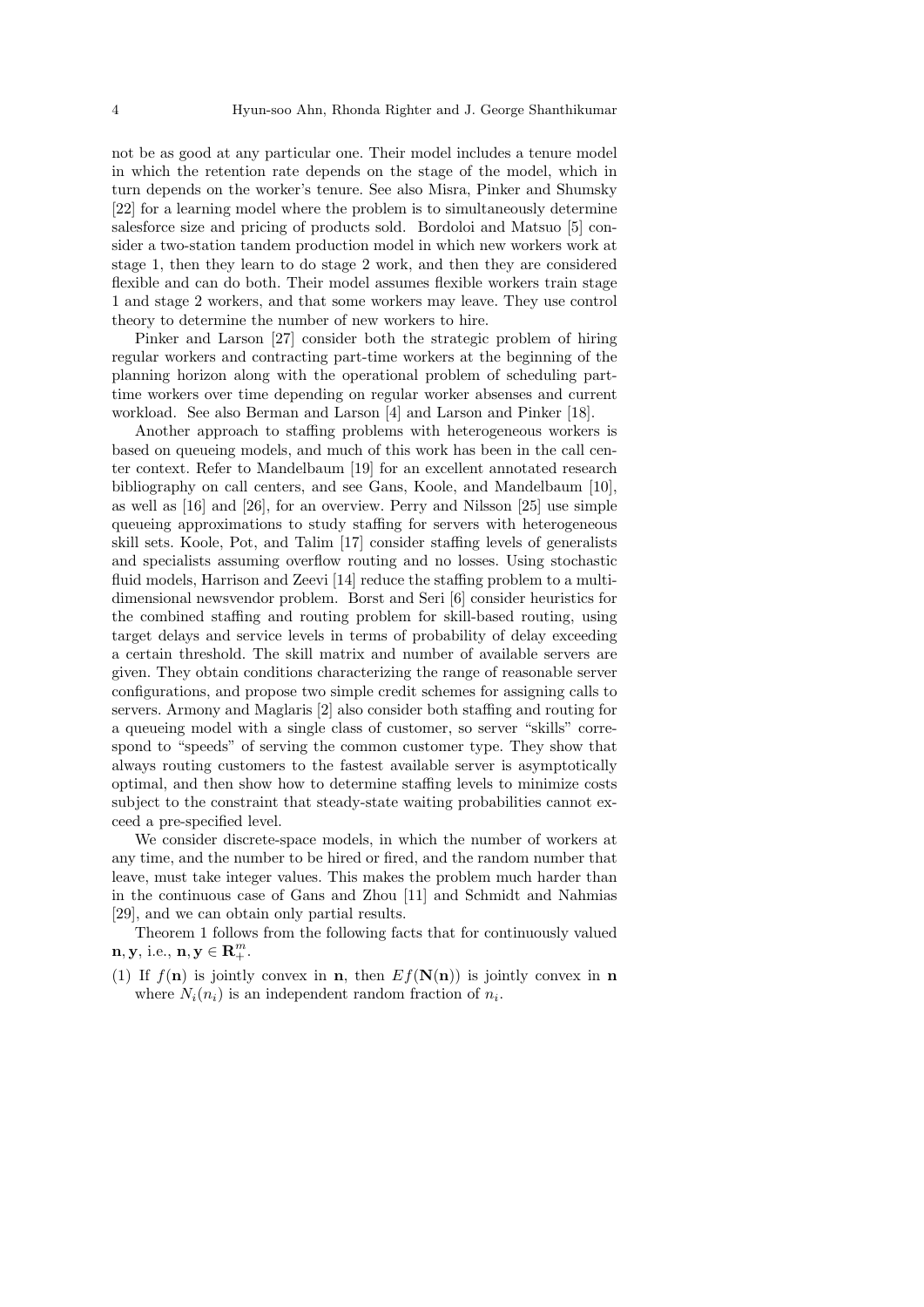not be as good at any particular one. Their model includes a tenure model in which the retention rate depends on the stage of the model, which in turn depends on the worker's tenure. See also Misra, Pinker and Shumsky [22] for a learning model where the problem is to simultaneously determine salesforce size and pricing of products sold. Bordoloi and Matsuo [5] consider a two-station tandem production model in which new workers work at stage 1, then they learn to do stage 2 work, and then they are considered flexible and can do both. Their model assumes flexible workers train stage 1 and stage 2 workers, and that some workers may leave. They use control theory to determine the number of new workers to hire.

Pinker and Larson [27] consider both the strategic problem of hiring regular workers and contracting part-time workers at the beginning of the planning horizon along with the operational problem of scheduling parttime workers over time depending on regular worker absenses and current workload. See also Berman and Larson [4] and Larson and Pinker [18].

Another approach to staffing problems with heterogeneous workers is based on queueing models, and much of this work has been in the call center context. Refer to Mandelbaum [19] for an excellent annotated research bibliography on call centers, and see Gans, Koole, and Mandelbaum [10], as well as [16] and [26], for an overview. Perry and Nilsson [25] use simple queueing approximations to study staffing for servers with heterogeneous skill sets. Koole, Pot, and Talim [17] consider staffing levels of generalists and specialists assuming overflow routing and no losses. Using stochastic fluid models, Harrison and Zeevi [14] reduce the staffing problem to a multidimensional newsvendor problem. Borst and Seri [6] consider heuristics for the combined staffing and routing problem for skill-based routing, using target delays and service levels in terms of probability of delay exceeding a certain threshold. The skill matrix and number of available servers are given. They obtain conditions characterizing the range of reasonable server configurations, and propose two simple credit schemes for assigning calls to servers. Armony and Maglaris [2] also consider both staffing and routing for a queueing model with a single class of customer, so server "skills" correspond to "speeds" of serving the common customer type. They show that always routing customers to the fastest available server is asymptotically optimal, and then show how to determine staffing levels to minimize costs subject to the constraint that steady-state waiting probabilities cannot exceed a pre-specified level.

We consider discrete-space models, in which the number of workers at any time, and the number to be hired or fired, and the random number that leave, must take integer values. This makes the problem much harder than in the continuous case of Gans and Zhou [11] and Schmidt and Nahmias [29], and we can obtain only partial results.

Theorem 1 follows from the following facts that for continuously valued  $\mathbf{n}, \mathbf{y},$  i.e.,  $\mathbf{n}, \mathbf{y} \in \mathbf{R}_{+}^{m}$ .

(1) If  $f(n)$  is jointly convex in n, then  $Ef(\mathbf{N}(n))$  is jointly convex in n where  $N_i(n_i)$  is an independent random fraction of  $n_i$ .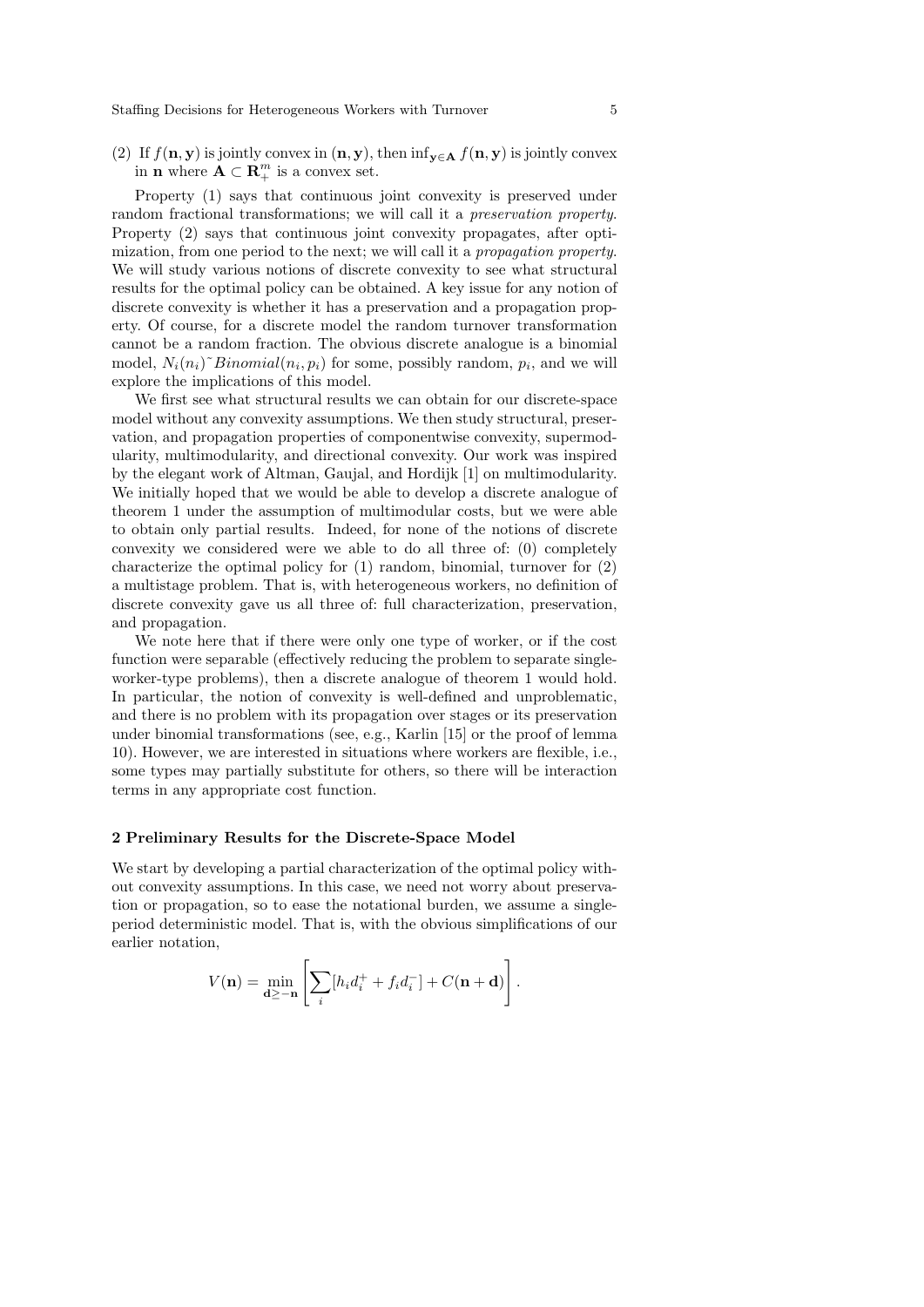(2) If  $f(\mathbf{n}, \mathbf{y})$  is jointly convex in  $(\mathbf{n}, \mathbf{y})$ , then  $\inf_{\mathbf{y} \in \mathbf{A}} f(\mathbf{n}, \mathbf{y})$  is jointly convex in **n** where  $\mathbf{A} \subset \mathbf{R}_{+}^{m}$  is a convex set.

Property (1) says that continuous joint convexity is preserved under random fractional transformations; we will call it a preservation property. Property (2) says that continuous joint convexity propagates, after optimization, from one period to the next; we will call it a propagation property. We will study various notions of discrete convexity to see what structural results for the optimal policy can be obtained. A key issue for any notion of discrete convexity is whether it has a preservation and a propagation property. Of course, for a discrete model the random turnover transformation cannot be a random fraction. The obvious discrete analogue is a binomial model,  $N_i(n_i)$ <sup> $\sim$ </sup>*Binomial* $(n_i, p_i)$  for some, possibly random,  $p_i$ , and we will explore the implications of this model.

We first see what structural results we can obtain for our discrete-space model without any convexity assumptions. We then study structural, preservation, and propagation properties of componentwise convexity, supermodularity, multimodularity, and directional convexity. Our work was inspired by the elegant work of Altman, Gaujal, and Hordijk [1] on multimodularity. We initially hoped that we would be able to develop a discrete analogue of theorem 1 under the assumption of multimodular costs, but we were able to obtain only partial results. Indeed, for none of the notions of discrete convexity we considered were we able to do all three of: (0) completely characterize the optimal policy for (1) random, binomial, turnover for (2) a multistage problem. That is, with heterogeneous workers, no definition of discrete convexity gave us all three of: full characterization, preservation, and propagation.

We note here that if there were only one type of worker, or if the cost function were separable (effectively reducing the problem to separate singleworker-type problems), then a discrete analogue of theorem 1 would hold. In particular, the notion of convexity is well-defined and unproblematic, and there is no problem with its propagation over stages or its preservation under binomial transformations (see, e.g., Karlin [15] or the proof of lemma 10). However, we are interested in situations where workers are flexible, i.e., some types may partially substitute for others, so there will be interaction terms in any appropriate cost function.

#### 2 Preliminary Results for the Discrete-Space Model

We start by developing a partial characterization of the optimal policy without convexity assumptions. In this case, we need not worry about preservation or propagation, so to ease the notational burden, we assume a singleperiod deterministic model. That is, with the obvious simplifications of our earlier notation,

$$
V(\mathbf{n}) = \min_{\mathbf{d} \geq -\mathbf{n}} \left[ \sum_i [h_i d_i^+ + f_i d_i^-] + C(\mathbf{n} + \mathbf{d}) \right].
$$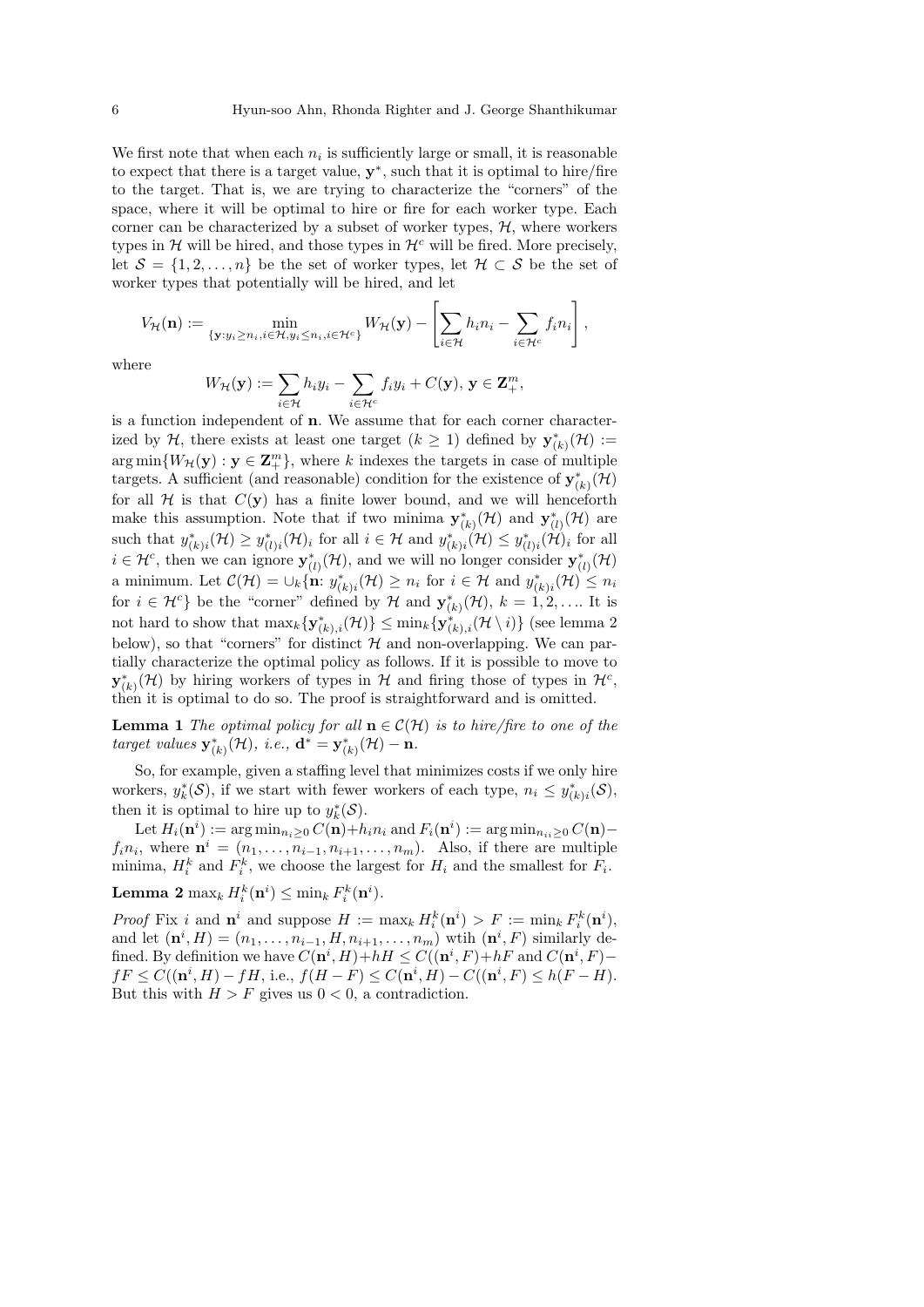We first note that when each  $n_i$  is sufficiently large or small, it is reasonable to expect that there is a target value,  $y^*$ , such that it is optimal to hire/fire to the target. That is, we are trying to characterize the "corners" of the space, where it will be optimal to hire or fire for each worker type. Each corner can be characterized by a subset of worker types,  $H$ , where workers types in  $H$  will be hired, and those types in  $H<sup>c</sup>$  will be fired. More precisely, let  $S = \{1, 2, ..., n\}$  be the set of worker types, let  $\mathcal{H} \subset S$  be the set of worker types that potentially will be hired, and let

$$
V_{\mathcal{H}}(\mathbf{n}) := \min_{\{\mathbf{y}: y_i \ge n_i, i \in \mathcal{H}, y_i \le n_i, i \in \mathcal{H}^c\}} W_{\mathcal{H}}(\mathbf{y}) - \left[ \sum_{i \in \mathcal{H}} h_i n_i - \sum_{i \in \mathcal{H}^c} f_i n_i \right],
$$

where

$$
W_{\mathcal{H}}(\mathbf{y}) := \sum_{i \in \mathcal{H}} h_i y_i - \sum_{i \in \mathcal{H}^c} f_i y_i + C(\mathbf{y}), \mathbf{y} \in \mathbf{Z}_+^m,
$$

is a function independent of n. We assume that for each corner characterized by  $\mathcal{H}$ , there exists at least one target  $(k \geq 1)$  defined by  $\mathbf{y}_{(k)}^*(\mathcal{H}) :=$  $\arg \min \{W_{\mathcal{H}}(\mathbf{y}) : \mathbf{y} \in \mathbf{Z}_{+}^{m} \},\$  where k indexes the targets in case of multiple targets. A sufficient (and reasonable) condition for the existence of  $\mathbf{y}_{(k)}^*(\mathcal{H})$ for all  $H$  is that  $C(y)$  has a finite lower bound, and we will henceforth make this assumption. Note that if two minima  $\mathbf{y}_{(k)}^*(\mathcal{H})$  and  $\mathbf{y}_{(l)}^*(\mathcal{H})$  are such that  $y^*_{(k)i}(\mathcal{H}) \geq y^*_{(l)i}(\mathcal{H})_i$  for all  $i \in \mathcal{H}$  and  $y^*_{(k)i}(\mathcal{H}) \leq y^*_{(l)i}(\mathcal{H})_i$  for all  $i \in \mathcal{H}^c$ , then we can ignore  $\mathbf{y}_{(l)}^*(\mathcal{H})$ , and we will no longer consider  $\mathbf{y}_{(l)}^*(\mathcal{H})$ a minimum. Let  $\mathcal{C}(\mathcal{H}) = \bigcup_k \{\mathbf{n}: y^*_{(k)i}(\mathcal{H}) \geq n_i \text{ for } i \in \mathcal{H} \text{ and } y^*_{(k)i}(\mathcal{H}) \leq n_i\}$ for  $i \in \mathcal{H}^c$  be the "corner" defined by  $\mathcal{H}$  and  $\mathbf{y}_{(k)}^*(\mathcal{H})$ ,  $k = 1, 2, \dots$  It is not hard to show that  $\max_k \{ \mathbf{y}_{(k),i}^*(\mathcal{H}) \} \leq \min_k \{ \mathbf{y}_{(k),i}^*(\mathcal{H} \setminus i) \}$  (see lemma 2) below), so that "corners" for distinct  $H$  and non-overlapping. We can partially characterize the optimal policy as follows. If it is possible to move to  $\mathbf{y}_{(k)}^*(\mathcal{H})$  by hiring workers of types in  $\mathcal{H}$  and firing those of types in  $\mathcal{H}^c$ , then it is optimal to do so. The proof is straightforward and is omitted.

**Lemma 1** The optimal policy for all  $\mathbf{n} \in \mathcal{C}(\mathcal{H})$  is to hire/fire to one of the target values  $\mathbf{y}_{(k)}^*(\mathcal{H}), i.e., \mathbf{d}^* = \mathbf{y}_{(k)}^*(\mathcal{H}) - \mathbf{n}.$ 

So, for example, given a staffing level that minimizes costs if we only hire workers,  $y_k^*(\mathcal{S})$ , if we start with fewer workers of each type,  $n_i \leq y_{(k)i}^*(\mathcal{S})$ , then it is optimal to hire up to  $y_k^*(\mathcal{S})$ .

Let  $H_i(\mathbf{n}^i) := \arg \min_{n_i \geq 0} C(\mathbf{n}) + h_i n_i$  and  $F_i(\mathbf{n}^i) := \arg \min_{n_i \geq 0} C(\mathbf{n})$  $f_i n_i$ , where  $\mathbf{n}^i = (n_1, \ldots, n_{i-1}, n_{i+1}, \ldots, n_m)$ . Also, if there are multiple minima,  $H_i^k$  and  $F_i^k$ , we choose the largest for  $H_i$  and the smallest for  $F_i$ .

# Lemma 2  $\max_k H_i^k(\mathbf{n}^i) \leq \min_k F_i^k(\mathbf{n}^i)$ .

*Proof* Fix *i* and  $\mathbf{n}^i$  and suppose  $H := \max_k H_i^k(\mathbf{n}^i) > F := \min_k F_i^k(\mathbf{n}^i)$ , and let  $({\bf n}^i, H) = (n_1, ..., n_{i-1}, H, n_{i+1}, ..., n_m)$  with  $({\bf n}^i, F)$  similarly defined. By definition we have  $C(\mathbf{n}^i, H) + hH \leq C((\mathbf{n}^i, F) + hF \text{ and } C(\mathbf{n}^i, F)$  $fF \leq C((n^i, H) - fH, \text{ i.e., } f(H - F) \leq C(n^i, H) - C((n^i, F) \leq h(F - H)).$ But this with  $H > F$  gives us  $0 < 0$ , a contradiction.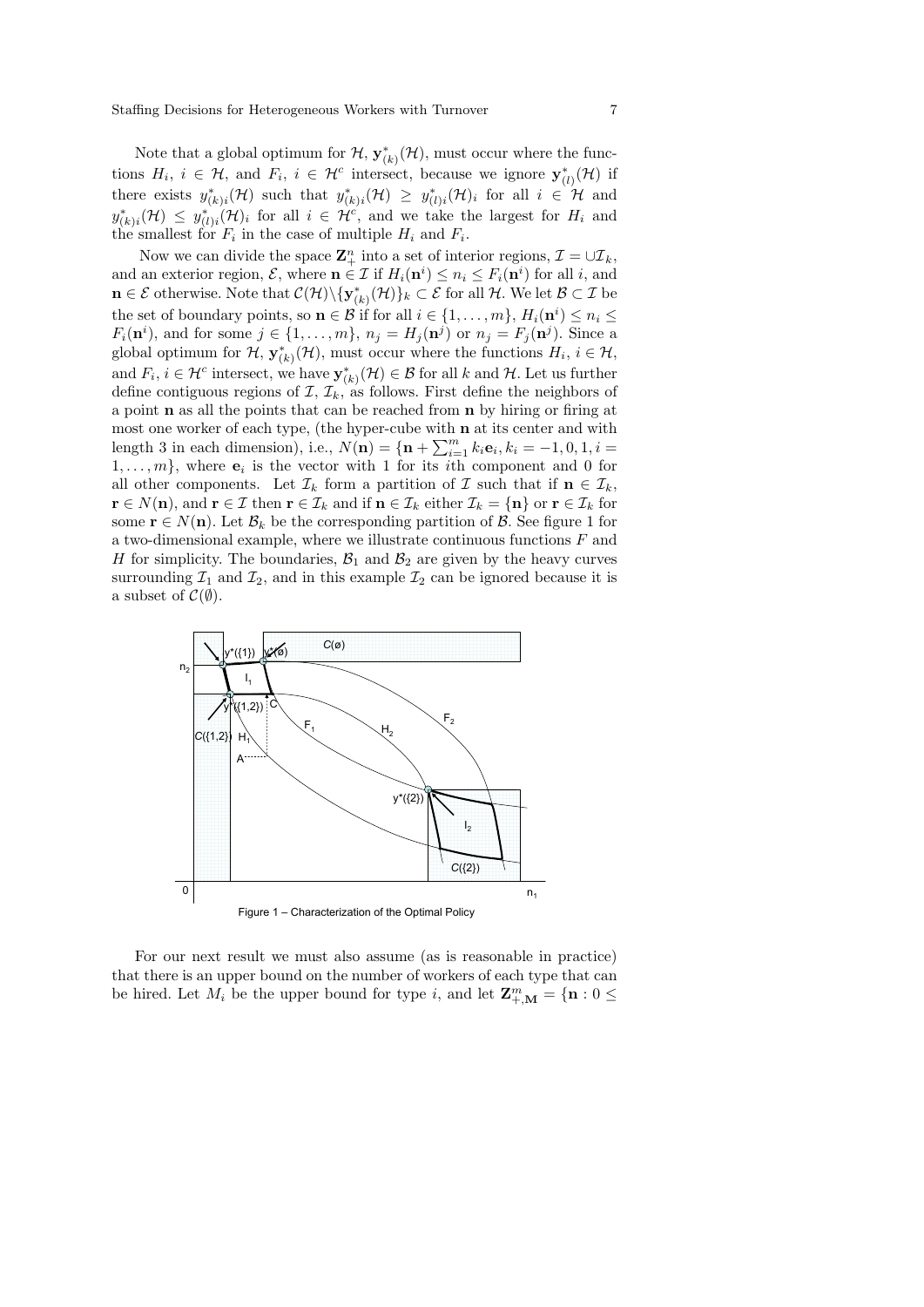Note that a global optimum for  $\mathcal{H}, \mathbf{y}_{(k)}^*(\mathcal{H})$ , must occur where the functions  $H_i, i \in \mathcal{H}$ , and  $F_i, i \in \mathcal{H}^c$  intersect, because we ignore  $\mathbf{y}_{(l)}^*(\mathcal{H})$  if there exists  $y^*_{(k)i}(\mathcal{H})$  such that  $y^*_{(k)i}(\mathcal{H}) \geq y^*_{(l)i}(\mathcal{H})_i$  for all  $i \in \mathcal{H}$  and  $y_{(k)i}^*(\mathcal{H}) \leq y_{(l)i}^*(\mathcal{H})_i$  for all  $i \in \mathcal{H}^c$ , and we take the largest for  $H_i$  and the smallest for  $F_i$  in the case of multiple  $H_i$  and  $F_i$ .

Now we can divide the space  $\mathbf{Z}_{+}^{n}$  into a set of interior regions,  $\mathcal{I} = \cup \mathcal{I}_{k}$ , and an exterior region,  $\mathcal{E}$ , where  $\mathbf{n} \in \mathcal{I}$  if  $H_i(\mathbf{n}^i) \leq n_i \leq F_i(\mathbf{n}^i)$  for all i, and  $n \in \mathcal{E}$  otherwise. Note that  $\mathcal{C}(\mathcal{H}) \setminus {\{y^*_{(k)}(\mathcal{H})\}_k} \subset \mathcal{E}$  for all  $\mathcal{H}$ . We let  $\mathcal{B} \subset \mathcal{I}$  be the set of boundary points, so  $\mathbf{n} \in \mathcal{B}$  if for all  $i \in \{1, ..., m\}$ ,  $H_i(\mathbf{n}^i) \leq n_i \leq$  $F_i(\mathbf{n}^i)$ , and for some  $j \in \{1, ..., m\}$ ,  $n_j = H_j(\mathbf{n}^j)$  or  $n_j = F_j(\mathbf{n}^j)$ . Since a global optimum for  $\mathcal{H}, \mathbf{y}_{(k)}^*(\mathcal{H})$ , must occur where the functions  $H_i, i \in \mathcal{H}$ , and  $F_i, i \in \mathcal{H}^c$  intersect, we have  $\mathbf{y}_{(k)}^*(\mathcal{H}) \in \mathcal{B}$  for all k and  $\mathcal{H}$ . Let us further define contiguous regions of  $\mathcal{I}, \mathcal{I}_k$ , as follows. First define the neighbors of a point n as all the points that can be reached from n by hiring or firing at most one worker of each type, (the hyper-cube with n at its center and with length 3 in each dimension), i.e.,  $N(\mathbf{n}) = {\mathbf{n} + \sum_{i=1}^{m} k_i \mathbf{e}_i, k_i = -1, 0, 1, i =}$  $1, \ldots, m$ , where  $e_i$  is the vector with 1 for its *i*th component and 0 for all other components. Let  $\mathcal{I}_k$  form a partition of  $\mathcal I$  such that if  $\mathbf{n} \in \mathcal{I}_k$ ,  $\mathbf{r} \in N(\mathbf{n})$ , and  $\mathbf{r} \in \mathcal{I}$  then  $\mathbf{r} \in \mathcal{I}_k$  and if  $\mathbf{n} \in \mathcal{I}_k$  either  $\mathcal{I}_k = {\mathbf{n}}$  or  $\mathbf{r} \in \mathcal{I}_k$  for some  $\mathbf{r} \in N(\mathbf{n})$ . Let  $\mathcal{B}_k$  be the corresponding partition of  $\mathcal{B}$ . See figure 1 for a two-dimensional example, where we illustrate continuous functions  $F$  and H for simplicity. The boundaries,  $\mathcal{B}_1$  and  $\mathcal{B}_2$  are given by the heavy curves surrounding  $\mathcal{I}_1$  and  $\mathcal{I}_2$ , and in this example  $\mathcal{I}_2$  can be ignored because it is a subset of  $\mathcal{C}(\emptyset)$ .



For our next result we must also assume (as is reasonable in practice) that there is an upper bound on the number of workers of each type that can be hired. Let  $M_i$  be the upper bound for type i, and let  $\mathbf{Z}_{+,\mathbf{M}}^m = \{ \mathbf{n} : 0 \leq$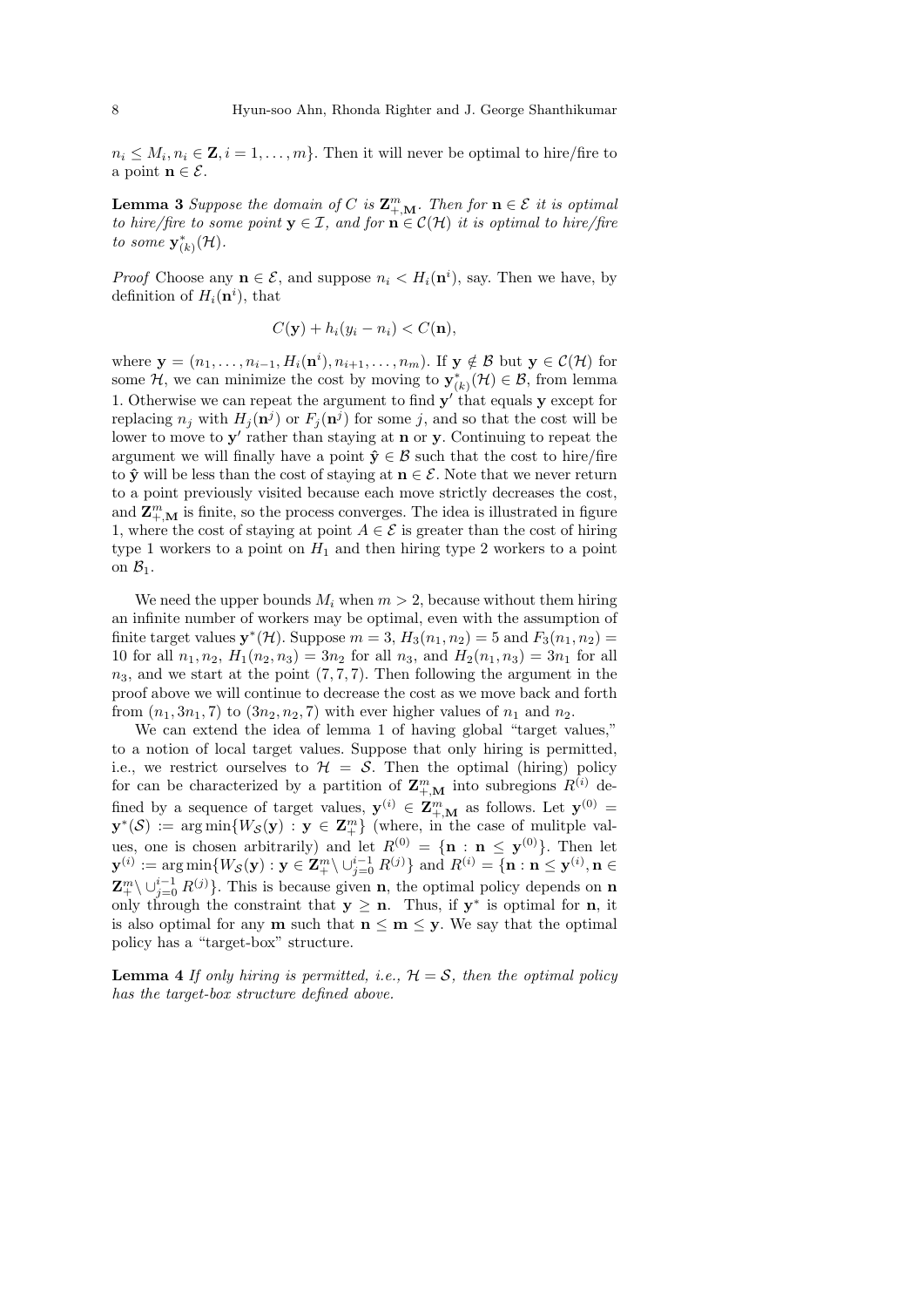$n_i \leq M_i, n_i \in \mathbb{Z}, i = 1, \ldots, m$ . Then it will never be optimal to hire/fire to a point  $n \in \mathcal{E}$ .

**Lemma 3** Suppose the domain of C is  $\mathbf{Z}_{+, \mathbf{M}}^m$ . Then for  $\mathbf{n} \in \mathcal{E}$  it is optimal to hire/fire to some point  $y \in \mathcal{I}$ , and for  $n \in \mathcal{C}(\mathcal{H})$  it is optimal to hire/fire to some  $y^*_{(k)}(\mathcal{H})$ .

*Proof* Choose any  $\mathbf{n} \in \mathcal{E}$ , and suppose  $n_i < H_i(\mathbf{n}^i)$ , say. Then we have, by definition of  $H_i(\mathbf{n}^i)$ , that

$$
C(\mathbf{y}) + h_i(y_i - n_i) < C(\mathbf{n}),
$$

where  $\mathbf{y} = (n_1, \ldots, n_{i-1}, H_i(\mathbf{n}^i), n_{i+1}, \ldots, n_m)$ . If  $\mathbf{y} \notin \mathcal{B}$  but  $\mathbf{y} \in \mathcal{C}(\mathcal{H})$  for some  $\mathcal{H}$ , we can minimize the cost by moving to  $\mathbf{y}_{(k)}^*(\mathcal{H}) \in \mathcal{B}$ , from lemma 1. Otherwise we can repeat the argument to find  $y'$  that equals  $y$  except for replacing  $n_j$  with  $H_j(\mathbf{n}^j)$  or  $F_j(\mathbf{n}^j)$  for some j, and so that the cost will be lower to move to  $y'$  rather than staying at **n** or  $y$ . Continuing to repeat the argument we will finally have a point  $\hat{y} \in \mathcal{B}$  such that the cost to hire/fire to  $\hat{\mathbf{y}}$  will be less than the cost of staying at  $\mathbf{n} \in \mathcal{E}$ . Note that we never return to a point previously visited because each move strictly decreases the cost, and  $\mathbf{Z}^m_{+,\mathbf{M}}$  is finite, so the process converges. The idea is illustrated in figure 1, where the cost of staying at point  $A \in \mathcal{E}$  is greater than the cost of hiring type 1 workers to a point on  $H_1$  and then hiring type 2 workers to a point on  $\mathcal{B}_1$ .

We need the upper bounds  $M_i$  when  $m > 2$ , because without them hiring an infinite number of workers may be optimal, even with the assumption of finite target values  $\mathbf{y}^*(\mathcal{H})$ . Suppose  $m = 3$ ,  $H_3(n_1, n_2) = 5$  and  $F_3(n_1, n_2) =$ 10 for all  $n_1, n_2, H_1(n_2, n_3) = 3n_2$  for all  $n_3$ , and  $H_2(n_1, n_3) = 3n_1$  for all  $n_3$ , and we start at the point  $(7, 7, 7)$ . Then following the argument in the proof above we will continue to decrease the cost as we move back and forth from  $(n_1, 3n_1, 7)$  to  $(3n_2, n_2, 7)$  with ever higher values of  $n_1$  and  $n_2$ .

We can extend the idea of lemma 1 of having global "target values," to a notion of local target values. Suppose that only hiring is permitted, i.e., we restrict ourselves to  $\mathcal{H} = \mathcal{S}$ . Then the optimal (hiring) policy for can be characterized by a partition of  $\mathbf{Z}_{+,\mathbf{M}}^m$  into subregions  $R^{(i)}$  defined by a sequence of target values,  $y^{(i)} \in \mathbb{Z}_{+,M}^m$  as follows. Let  $y^{(0)} =$  $\mathbf{y}^*(\mathcal{S}) := \arg \min \{ W_{\mathcal{S}}(\mathbf{y}) : \mathbf{y} \in \mathbf{Z}_{+}^m \}$  (where, in the case of mulitple values, one is chosen arbitrarily) and let  $R^{(0)} = \{n : n \leq y^{(0)}\}$ . Then let  $\mathbf{y}^{(i)} := \arg \min \{W_{\mathcal{S}}(\mathbf{y}) : \mathbf{y} \in \mathbf{Z}_{+}^m \setminus \cup_{j=0}^{i-1} R^{(j)}\} \text{ and } R^{(i)} = \{\mathbf{n} : \mathbf{n} \leq \mathbf{y}^{(i)}, \mathbf{n} \in \mathbb{R} \}$  $\mathbf{Z}_{+}^{m} \setminus \cup_{j=0}^{i-1} R^{(j)}$ . This is because given **n**, the optimal policy depends on **n** only through the constraint that  $y \geq n$ . Thus, if  $y^*$  is optimal for n, it is also optimal for any **m** such that  $n \le m \le y$ . We say that the optimal policy has a "target-box" structure.

**Lemma 4** If only hiring is permitted, i.e.,  $\mathcal{H} = \mathcal{S}$ , then the optimal policy has the target-box structure defined above.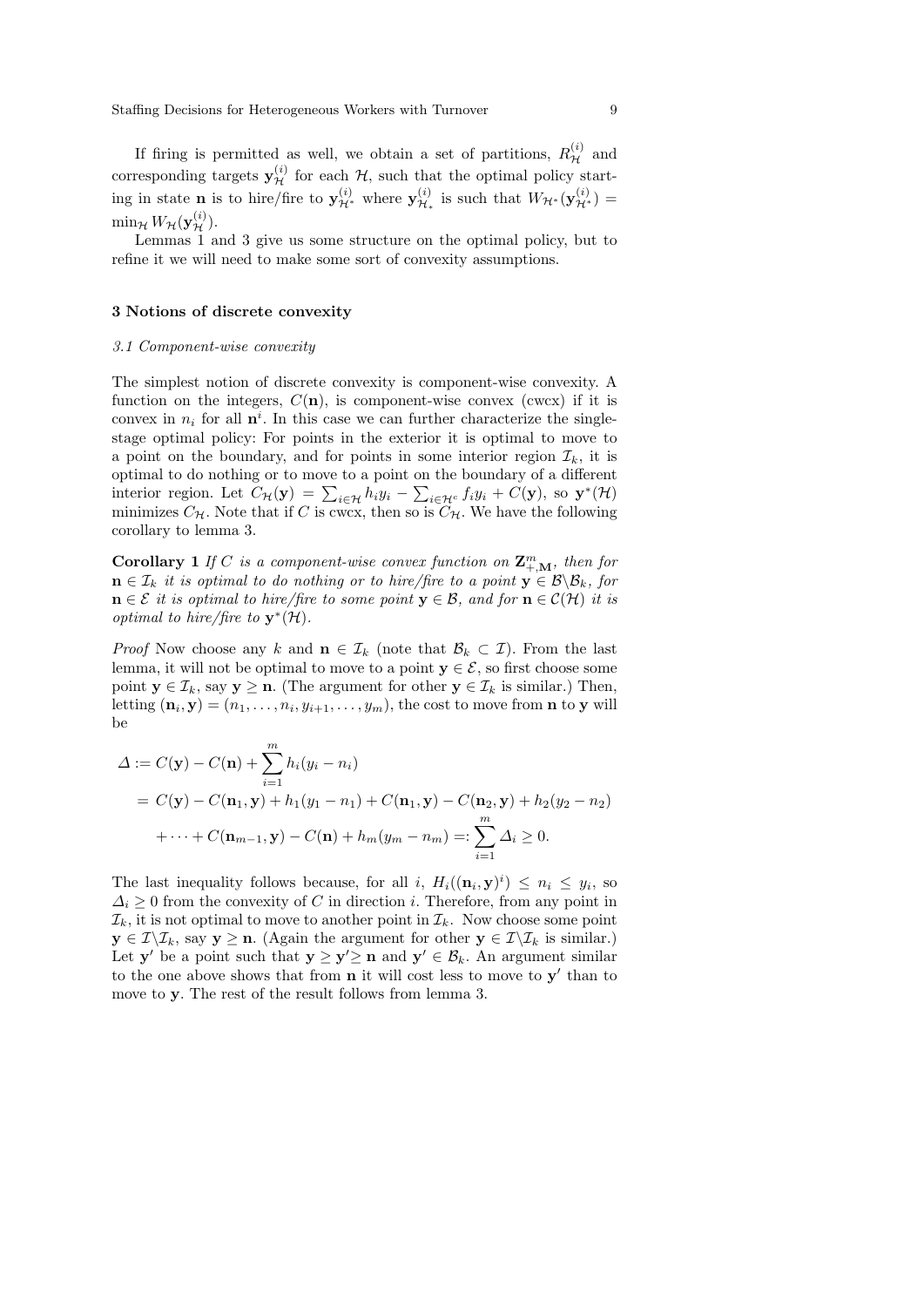If firing is permitted as well, we obtain a set of partitions,  $R_{\mathcal{H}}^{(i)}$  and corresponding targets  $y_{\mathcal{H}}^{(i)}$  for each  $\mathcal{H}$ , such that the optimal policy starting in state **n** is to hire/fire to  $\mathbf{y}_{\mathcal{H}^*}^{(i)}$  where  $\mathbf{y}_{\mathcal{H}_*}^{(i)}$  $\mathcal{H}_{*}^{(i)}$  is such that  $W_{\mathcal{H}^{*}}(\mathbf{y}_{\mathcal{H}^{*}}^{(i)}) =$  $\min_{\mathcal{H}} W_{\mathcal{H}}(\mathbf{y}_{\mathcal{H}}^{(i)}).$ 

Lemmas 1 and 3 give us some structure on the optimal policy, but to refine it we will need to make some sort of convexity assumptions.

#### 3 Notions of discrete convexity

#### 3.1 Component-wise convexity

The simplest notion of discrete convexity is component-wise convexity. A function on the integers,  $C(n)$ , is component-wise convex (cwcx) if it is convex in  $n_i$  for all  $\mathbf{n}^i$ . In this case we can further characterize the singlestage optimal policy: For points in the exterior it is optimal to move to a point on the boundary, and for points in some interior region  $\mathcal{I}_k$ , it is optimal to do nothing or to move to a point on the boundary of a different interior region. Let  $C_{\mathcal{H}}(\mathbf{y}) = \sum_{i \in \mathcal{H}} h_i y_i - \sum_{i \in \mathcal{H}^c} f_i y_i + C(\mathbf{y}),$  so  $\mathbf{y}^*(\mathcal{H})$ minimizes  $C_{\mathcal{H}}$ . Note that if C is cwcx, then so is  $C_{\mathcal{H}}$ . We have the following corollary to lemma 3.

**Corollary** 1 If C is a component-wise convex function on  $\mathbf{Z}_{+,\mathbf{M}}^m$ , then for  $\mathbf{n} \in \mathcal{I}_k$  it is optimal to do nothing or to hire/fire to a point  $\mathbf{y} \in \mathcal{B} \backslash \mathcal{B}_k$ , for  $\mathbf{n} \in \mathcal{E}$  it is optimal to hire/fire to some point  $\mathbf{y} \in \mathcal{B}$ , and for  $\mathbf{n} \in \mathcal{C}(\mathcal{H})$  it is optimal to hire/fire to  $\mathbf{y}^*(\mathcal{H})$ .

*Proof* Now choose any k and  $\mathbf{n} \in \mathcal{I}_k$  (note that  $\mathcal{B}_k \subset \mathcal{I}$ ). From the last lemma, it will not be optimal to move to a point  $y \in \mathcal{E}$ , so first choose some point  $y \in \mathcal{I}_k$ , say  $y \ge n$ . (The argument for other  $y \in \mathcal{I}_k$  is similar.) Then, letting  $(\mathbf{n}_i, \mathbf{y}) = (n_1, \dots, n_i, y_{i+1}, \dots, y_m)$ , the cost to move from **n** to **y** will be

$$
\Delta := C(\mathbf{y}) - C(\mathbf{n}) + \sum_{i=1}^{m} h_i(y_i - n_i)
$$
  
=  $C(\mathbf{y}) - C(\mathbf{n}_1, \mathbf{y}) + h_1(y_1 - n_1) + C(\mathbf{n}_1, \mathbf{y}) - C(\mathbf{n}_2, \mathbf{y}) + h_2(y_2 - n_2)$   
+  $\cdots + C(\mathbf{n}_{m-1}, \mathbf{y}) - C(\mathbf{n}) + h_m(y_m - n_m) =: \sum_{i=1}^{m} \Delta_i \ge 0.$ 

The last inequality follows because, for all i,  $H_i((\mathbf{n}_i, \mathbf{y})^i) \leq n_i \leq y_i$ , so  $\Delta_i \geq 0$  from the convexity of C in direction *i*. Therefore, from any point in  $\mathcal{I}_k$ , it is not optimal to move to another point in  $\mathcal{I}_k$ . Now choose some point  $y \in \mathcal{I}\backslash\mathcal{I}_k$ , say  $y \geq n$ . (Again the argument for other  $y \in \mathcal{I}\backslash\mathcal{I}_k$  is similar.) Let **y'** be a point such that  $y \ge y' \ge n$  and  $y' \in \mathcal{B}_k$ . An argument similar to the one above shows that from  $\bf{n}$  it will cost less to move to  $\bf{y}'$  than to move to y. The rest of the result follows from lemma 3.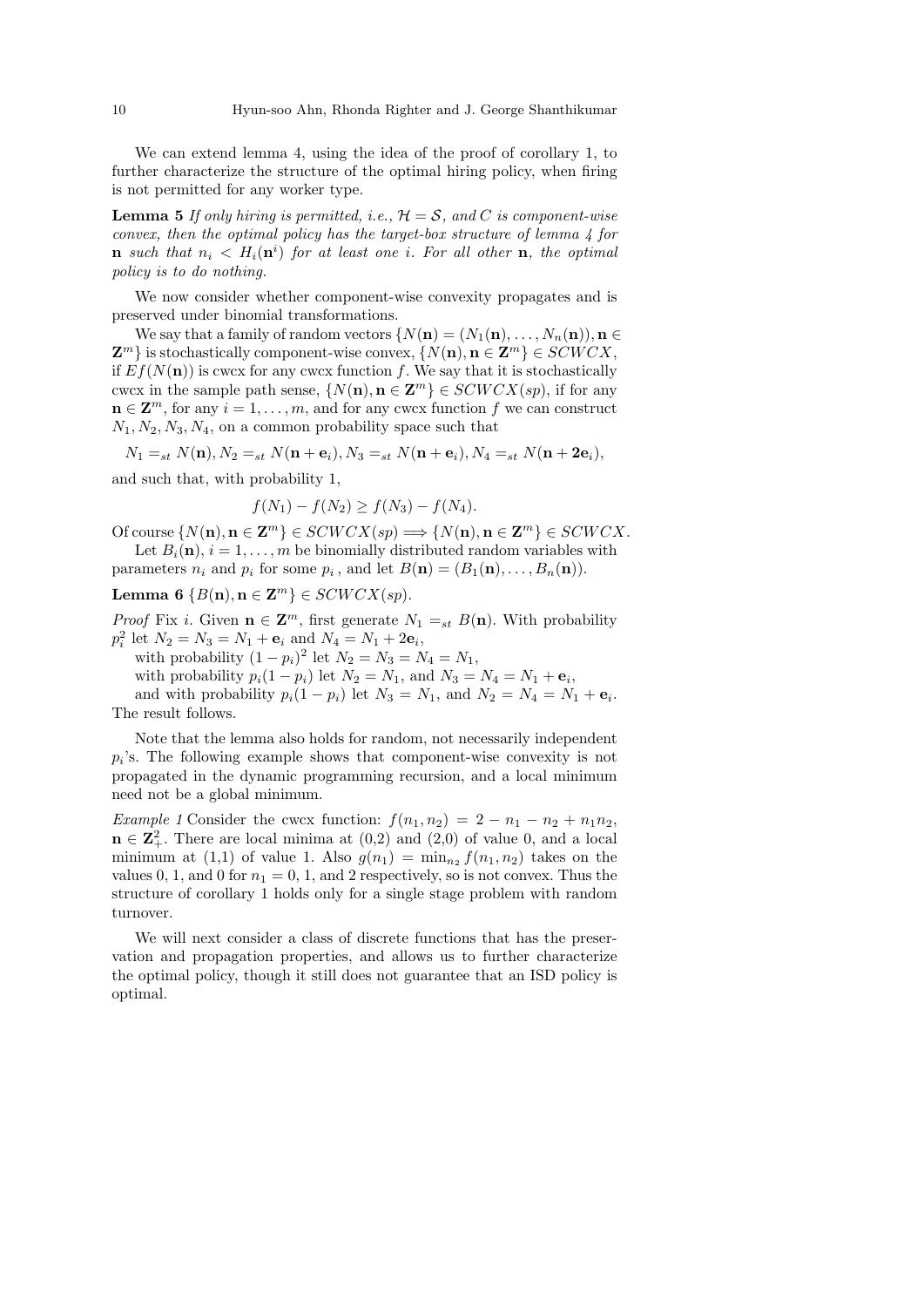We can extend lemma 4, using the idea of the proof of corollary 1, to further characterize the structure of the optimal hiring policy, when firing is not permitted for any worker type.

**Lemma 5** If only hiring is permitted, i.e.,  $H = S$ , and C is component-wise convex, then the optimal policy has the target-box structure of lemma  $\lambda$  for **n** such that  $n_i < H_i(\mathbf{n}^i)$  for at least one i. For all other **n**, the optimal policy is to do nothing.

We now consider whether component-wise convexity propagates and is preserved under binomial transformations.

We say that a family of random vectors  $\{N(\mathbf{n}) = (N_1(\mathbf{n}), \ldots, N_n(\mathbf{n})), \mathbf{n} \in$  $\mathbf{Z}^m$ } is stochastically component-wise convex,  $\{N(\mathbf{n}), \mathbf{n} \in \mathbf{Z}^m\} \in SCWCX$ , if  $E f(N(\mathbf{n}))$  is cwcx for any cwcx function f. We say that it is stochastically cwcx in the sample path sense,  $\{N(\mathbf{n}), \mathbf{n} \in \mathbb{Z}^m\} \in SCWCX(sp)$ , if for any  $\mathbf{n} \in \mathbb{Z}^m$ , for any  $i = 1, \ldots, m$ , and for any cwcx function f we can construct  $N_1, N_2, N_3, N_4$ , on a common probability space such that

 $N_1 =_{st} N(\mathbf{n}), N_2 =_{st} N(\mathbf{n} + \mathbf{e}_i), N_3 =_{st} N(\mathbf{n} + \mathbf{e}_i), N_4 =_{st} N(\mathbf{n} + 2\mathbf{e}_i),$ 

and such that, with probability 1,

$$
f(N_1) - f(N_2) \ge f(N_3) - f(N_4).
$$

Of course  $\{N(\mathbf{n}), \mathbf{n} \in \mathbf{Z}^m\} \in SCWCX(sp) \Longrightarrow \{N(\mathbf{n}), \mathbf{n} \in \mathbf{Z}^m\} \in SCWCX$ . Let  $B_i(n)$ ,  $i = 1, ..., m$  be binomially distributed random variables with

parameters  $n_i$  and  $p_i$  for some  $p_i$ , and let  $B(\mathbf{n}) = (B_1(\mathbf{n}), \dots, B_n(\mathbf{n})).$ 

Lemma 6  ${B(n), n \in \mathbf{Z}^m} \in SCWCX(sp)$ .

*Proof* Fix *i*. Given  $\mathbf{n} \in \mathbf{Z}^m$ , first generate  $N_1 =_{st} B(\mathbf{n})$ . With probability  $p_i^2$  let  $N_2 = N_3 = N_1 + \mathbf{e}_i$  and  $N_4 = N_1 + 2\mathbf{e}_i$ ,

with probability  $(1 - p_i)^2$  let  $N_2 = N_3 = N_4 = N_1$ ,

with probability  $p_i(1-p_i)$  let  $N_2 = N_1$ , and  $N_3 = N_4 = N_1 + \mathbf{e}_i$ , and with probability  $p_i(1-p_i)$  let  $N_3 = N_1$ , and  $N_2 = N_4 = N_1 + \mathbf{e}_i$ .

The result follows.

Note that the lemma also holds for random, not necessarily independent  $p_i$ 's. The following example shows that component-wise convexity is not propagated in the dynamic programming recursion, and a local minimum need not be a global minimum.

Example 1 Consider the cwcx function:  $f(n_1, n_2) = 2 - n_1 - n_2 + n_1 n_2$ ,  $\mathbf{n} \in \mathbb{Z}_+^2$ . There are local minima at  $(0,2)$  and  $(2,0)$  of value 0, and a local minimum at (1,1) of value 1. Also  $g(n_1) = \min_{n_2} f(n_1, n_2)$  takes on the values 0, 1, and 0 for  $n_1 = 0$ , 1, and 2 respectively, so is not convex. Thus the structure of corollary 1 holds only for a single stage problem with random turnover.

We will next consider a class of discrete functions that has the preservation and propagation properties, and allows us to further characterize the optimal policy, though it still does not guarantee that an ISD policy is optimal.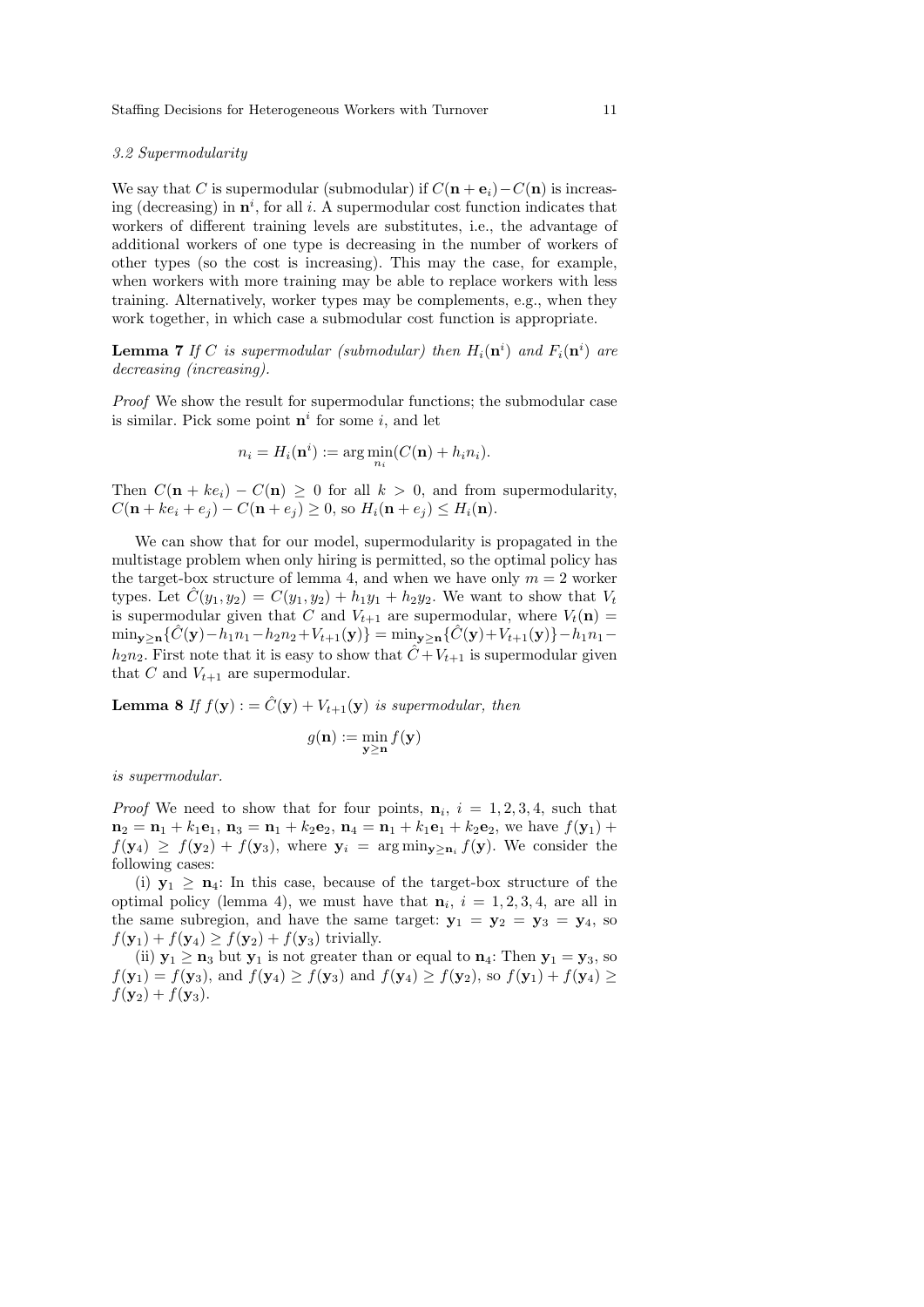#### 3.2 Supermodularity

We say that C is supermodular (submodular) if  $C(\mathbf{n} + \mathbf{e}_i) - C(\mathbf{n})$  is increasing (decreasing) in  $\mathbf{n}^i$ , for all i. A supermodular cost function indicates that workers of different training levels are substitutes, i.e., the advantage of additional workers of one type is decreasing in the number of workers of other types (so the cost is increasing). This may the case, for example, when workers with more training may be able to replace workers with less training. Alternatively, worker types may be complements, e.g., when they work together, in which case a submodular cost function is appropriate.

**Lemma 7** If C is supermodular (submodular) then  $H_i(\mathbf{n}^i)$  and  $F_i(\mathbf{n}^i)$  are decreasing (increasing).

Proof We show the result for supermodular functions; the submodular case is similar. Pick some point  $\mathbf{n}^i$  for some i, and let

$$
n_i = H_i(\mathbf{n}^i) := \arg\min_{n_i} (C(\mathbf{n}) + h_i n_i).
$$

Then  $C(\mathbf{n} + ke_i) - C(\mathbf{n}) \geq 0$  for all  $k > 0$ , and from supermodularity,  $C(\mathbf{n} + ke_i + e_j) - C(\mathbf{n} + e_j) \ge 0$ , so  $H_i(\mathbf{n} + e_j) \le H_i(\mathbf{n})$ .

We can show that for our model, supermodularity is propagated in the multistage problem when only hiring is permitted, so the optimal policy has the target-box structure of lemma 4, and when we have only  $m = 2$  worker types. Let  $\hat{C}(y_1, y_2) = C(y_1, y_2) + h_1y_1 + h_2y_2$ . We want to show that  $V_t$ is supermodular given that C and  $V_{t+1}$  are supermodular, where  $V_t(\mathbf{n}) =$  $\min_{\mathbf{y} \geq \mathbf{n}} {\{\hat{C}(\mathbf{y}) - h_1n_1 - h_2n_2 + V_{t+1}(\mathbf{y})\}} = \min_{\mathbf{y} \geq \mathbf{n}} {\{\hat{C}(\mathbf{y}) + V_{t+1}(\mathbf{y})\}} - h_1n_1$  $h_2n_2$ . First note that it is easy to show that  $\hat{C} + V_{t+1}$  is supermodular given that C and  $V_{t+1}$  are supermodular.

**Lemma 8** If  $f(\mathbf{y}) := \hat{C}(\mathbf{y}) + V_{t+1}(\mathbf{y})$  is supermodular, then

$$
g(\mathbf{n}) := \min_{\mathbf{y} \ge \mathbf{n}} f(\mathbf{y})
$$

is supermodular.

*Proof* We need to show that for four points,  $n_i$ ,  $i = 1, 2, 3, 4$ , such that  $n_2 = n_1 + k_1 e_1$ ,  $n_3 = n_1 + k_2 e_2$ ,  $n_4 = n_1 + k_1 e_1 + k_2 e_2$ , we have  $f(\mathbf{y}_1)$  +  $f(\mathbf{y}_4) \geq f(\mathbf{y}_2) + f(\mathbf{y}_3)$ , where  $\mathbf{y}_i = \arg \min_{\mathbf{y} \geq \mathbf{n}_i} f(\mathbf{y})$ . We consider the following cases:

(i)  $y_1 \geq n_4$ : In this case, because of the target-box structure of the optimal policy (lemma 4), we must have that  $n_i$ ,  $i = 1, 2, 3, 4$ , are all in the same subregion, and have the same target:  $y_1 = y_2 = y_3 = y_4$ , so  $f(\mathbf{y}_1) + f(\mathbf{y}_4) \geq f(\mathbf{y}_2) + f(\mathbf{y}_3)$  trivially.

(ii)  $y_1 \ge n_3$  but  $y_1$  is not greater than or equal to  $n_4$ : Then  $y_1 = y_3$ , so  $f(\mathbf{y}_1) = f(\mathbf{y}_3)$ , and  $f(\mathbf{y}_4) \ge f(\mathbf{y}_3)$  and  $f(\mathbf{y}_4) \ge f(\mathbf{y}_2)$ , so  $f(\mathbf{y}_1) + f(\mathbf{y}_4) \ge f(\mathbf{y}_4)$  $f({\bf y}_2) + f({\bf y}_3).$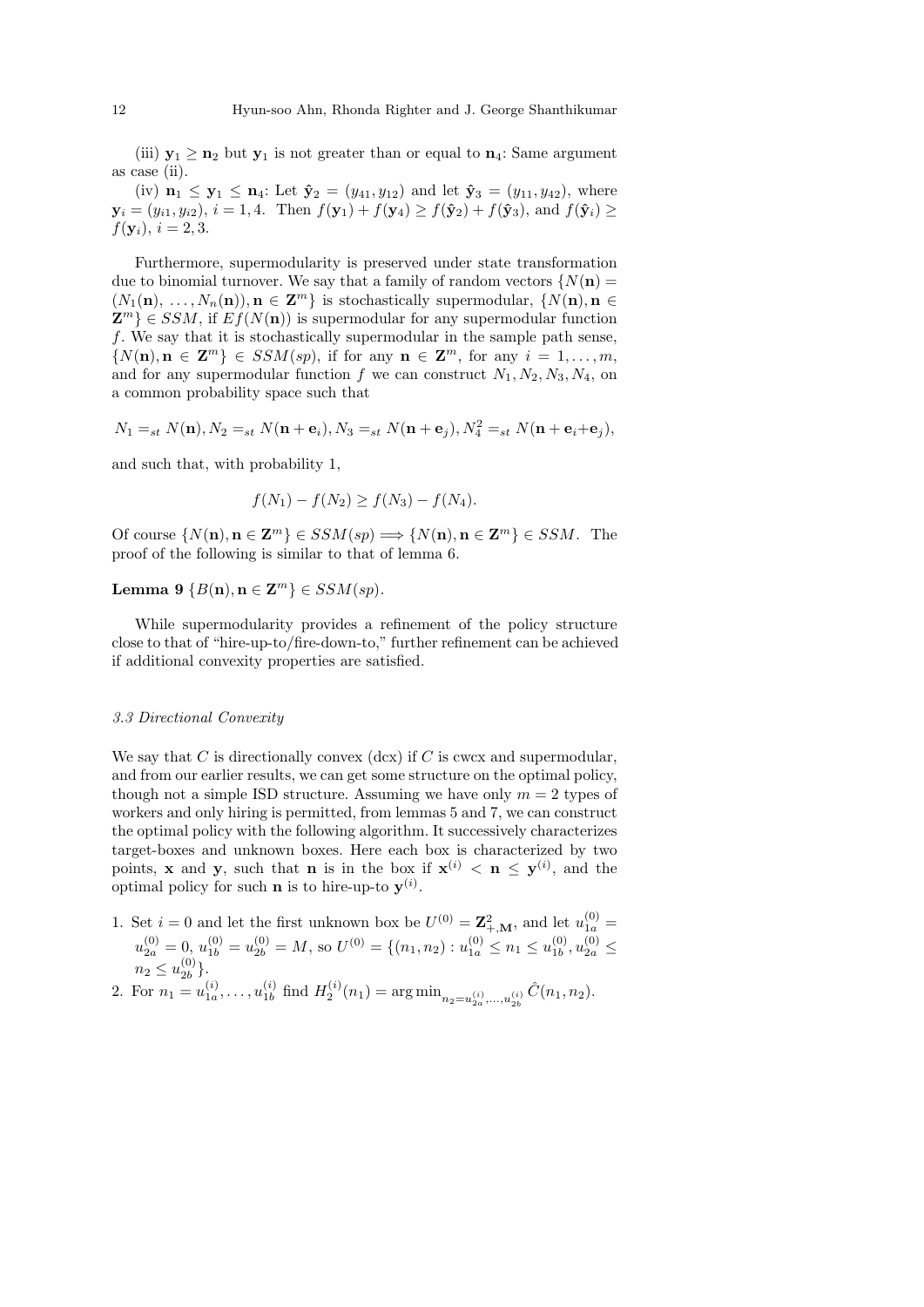(iii)  $y_1 \geq n_2$  but  $y_1$  is not greater than or equal to  $n_4$ : Same argument as case (ii).

(iv)  $\mathbf{n}_1 \leq \mathbf{y}_1 \leq \mathbf{n}_4$ : Let  $\mathbf{\hat{y}}_2 = (y_{41}, y_{12})$  and let  $\mathbf{\hat{y}}_3 = (y_{11}, y_{42})$ , where  $y_i = (y_{i1}, y_{i2}), i = 1, 4.$  Then  $f(y_1) + f(y_4) \ge f(\hat{y}_2) + f(\hat{y}_3)$ , and  $f(\hat{y}_i) \ge$  $f(\mathbf{y}_i), i = 2, 3.$ 

Furthermore, supermodularity is preserved under state transformation due to binomial turnover. We say that a family of random vectors  $\{N(\mathbf{n})\}$  $(N_1(\mathbf{n}), \ldots, N_n(\mathbf{n})), \mathbf{n} \in \mathbf{Z}^m$  is stochastically supermodular,  $\{N(\mathbf{n}), \mathbf{n} \in$  $\mathbf{Z}^m$ }  $\in$  SSM, if  $Ef(N(\mathbf{n}))$  is supermodular for any supermodular function f. We say that it is stochastically supermodular in the sample path sense,  $\{N(\mathbf{n}), \mathbf{n} \in \mathbf{Z}^m\} \in \text{SSM}(sp)$ , if for any  $\mathbf{n} \in \mathbf{Z}^m$ , for any  $i = 1, \ldots, m$ , and for any supermodular function f we can construct  $N_1, N_2, N_3, N_4$ , on a common probability space such that

$$
N_1 =_{st} N(\mathbf{n}), N_2 =_{st} N(\mathbf{n} + \mathbf{e}_i), N_3 =_{st} N(\mathbf{n} + \mathbf{e}_j), N_4^2 =_{st} N(\mathbf{n} + \mathbf{e}_i + \mathbf{e}_j),
$$

and such that, with probability 1,

$$
f(N_1) - f(N_2) \ge f(N_3) - f(N_4).
$$

Of course  $\{N(\mathbf{n}), \mathbf{n} \in \mathbf{Z}^m\} \in \mathcal{SSM}(sp) \Longrightarrow \{N(\mathbf{n}), \mathbf{n} \in \mathbf{Z}^m\} \in \mathcal{SSM}$ . The proof of the following is similar to that of lemma 6.

Lemma 9  ${B(n), n \in \mathbf{Z}^m} \in SSM(sp)$ .

While supermodularity provides a refinement of the policy structure close to that of "hire-up-to/fire-down-to," further refinement can be achieved if additional convexity properties are satisfied.

#### 3.3 Directional Convexity

We say that C is directionally convex  $(\text{d} \alpha)$  if C is cwcx and supermodular, and from our earlier results, we can get some structure on the optimal policy, though not a simple ISD structure. Assuming we have only  $m = 2$  types of workers and only hiring is permitted, from lemmas 5 and 7, we can construct the optimal policy with the following algorithm. It successively characterizes target-boxes and unknown boxes. Here each box is characterized by two points, **x** and **y**, such that **n** is in the box if  $\mathbf{x}^{(i)} < \mathbf{n} \leq \mathbf{y}^{(i)}$ , and the optimal policy for such **n** is to hire-up-to  $y^{(i)}$ .

1. Set 
$$
i = 0
$$
 and let the first unknown box be  $U^{(0)} = \mathbf{Z}_{+,\mathbf{M}}^2$ , and let  $u_{1a}^{(0)} = u_{2a}^{(0)} = 0$ ,  $u_{1b}^{(0)} = u_{2b}^{(0)} = M$ , so  $U^{(0)} = \{(n_1, n_2) : u_{1a}^{(0)} \le n_1 \le u_{1b}^{(0)}, u_{2a}^{(0)} \le n_2 \le u_{2b}^{(0)}\}$ .

2. For 
$$
n_1 = u_{1a}^{(i)}, \ldots, u_{1b}^{(i)}
$$
 find  $H_2^{(i)}(n_1) = \arg \min_{n_2 = u_{2a}^{(i)}, \ldots, u_{2b}^{(i)}} \hat{C}(n_1, n_2)$ .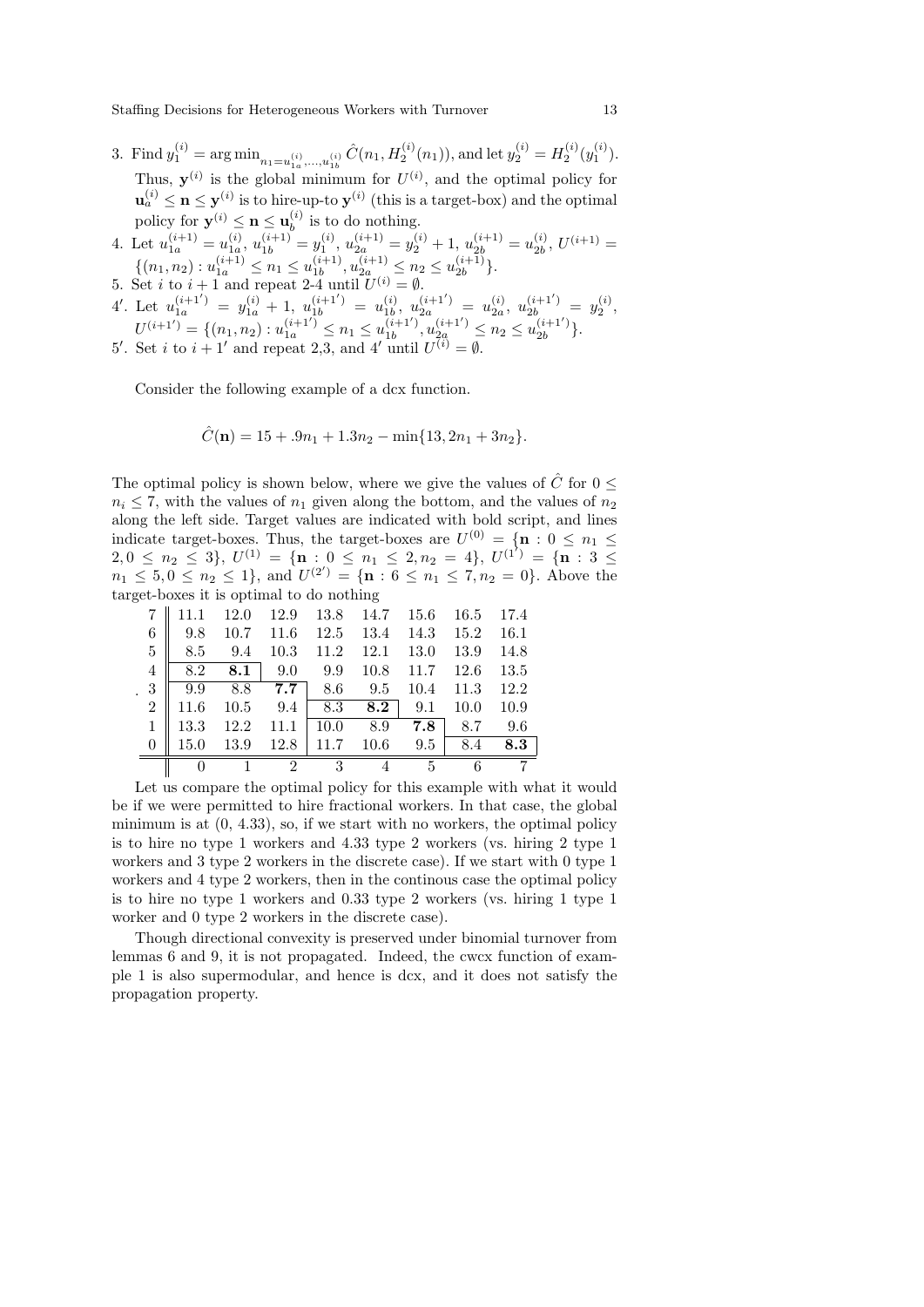Staffing Decisions for Heterogeneous Workers with Turnover 13

- 3. Find  $y_1^{(i)} = \arg \min_{n_1 = u_{1a}^{(i)}, \dots, u_{1b}^{(i)}} \hat{C}(n_1, H_2^{(i)}(n_1)),$  and let  $y_2^{(i)} = H_2^{(i)}(y_1^{(i)}).$ Thus,  $\mathbf{y}^{(i)}$  is the global minimum for  $U^{(i)}$ , and the optimal policy for  $\mathbf{u}_a^{(i)} \leq \mathbf{n} \leq \mathbf{y}^{(i)}$  is to hire-up-to  $\mathbf{y}^{(i)}$  (this is a target-box) and the optimal policy for  $y^{(i)} \leq n \leq u_b^{(i)}$  $b_i^{(i)}$  is to do nothing.
- 4. Let  $u_{1a}^{(i+1)} = u_{1a}^{(i)}$ ,  $u_{1b}^{(i+1)} = y_1^{(i)}$ ,  $u_{2a}^{(i+1)} = y_2^{(i)} + 1$ ,  $u_{2b}^{(i+1)} = u_{2b}^{(i)}$  $L_{2b}^{(i)}, U^{(i+1)} =$  $\{(n_1, n_2) : u_{1a}^{(i+1)} \leq n_1 \leq u_{1b}^{(i+1)}\}$  $u_{1b}^{(i+1)}, u_{2a}^{(i+1)} \leq n_2 \leq u_{2b}^{(i+1)}$  $\binom{(i+1)}{2b}$ .
- 5. Set *i* to  $i + 1$  and repeat 2-4 until  $U^{(i)} = \emptyset$ .
- 4'. Let  $u_{1a}^{(i+1')} = y_{1a}^{(i)} + 1$ ,  $u_{1b}^{(i+1')} = u_{1b}^{(i)}$  $u_{1b}^{(i)}, u_{2a}^{(i+1')} = u_{2a}^{(i)}, u_{2b}^{(i+1')} = y_2^{(i)},$  $U^{(i+1')} = \{(n_1, n_2) : u_{1a}^{(i+1')} \le n_1 \le u_{1b}^{(i+1')}$  $\overline{u}_{1b}^{(i+1')}, u_{2a}^{(i+1')} \leq n_2 \leq \overline{u}_{2b}^{(i+1')}$  $\binom{(i+1)}{2b}$ .
- 5'. Set i to  $i + 1'$  and repeat 2,3, and 4' until  $U^{(i)} = \emptyset$ .

Consider the following example of a dcx function.

$$
\hat{C}(\mathbf{n}) = 15 + .9n_1 + 1.3n_2 - \min\{13, 2n_1 + 3n_2\}.
$$

The optimal policy is shown below, where we give the values of  $\hat{C}$  for  $0 \leq$  $n_i \leq 7$ , with the values of  $n_1$  given along the bottom, and the values of  $n_2$ along the left side. Target values are indicated with bold script, and lines indicate target-boxes. Thus, the target-boxes are  $U^{(0)} = \{n : 0 \le n_1 \le$  $2, 0 \le n_2 \le 3$ ,  $U^{(1)} = \{ \mathbf{n} : 0 \le n_1 \le 2, n_2 = 4 \}, U^{(1')} = \{ \mathbf{n} : 3 \le n_1 \}$  $n_1 \leq 5, 0 \leq n_2 \leq 1$ , and  $U^{(2')} = \{n : 6 \leq n_1 \leq 7, n_2 = 0\}$ . Above the target-boxes it is optimal to do nothing

| $\overline{7}$ |          | 11.1 12.0 12.9 13.8 14.7 15.6 16.5 17.4                                 |                             |   |                                                                                            |   |     |
|----------------|----------|-------------------------------------------------------------------------|-----------------------------|---|--------------------------------------------------------------------------------------------|---|-----|
| 6              |          | 9.8 10.7 11.6 12.5 13.4 14.3 15.2 16.1                                  |                             |   |                                                                                            |   |     |
| $\bf 5$        |          | 8.5 9.4 10.3 11.2 12.1 13.0 13.9 14.8                                   |                             |   |                                                                                            |   |     |
| $\overline{4}$ | 8.2      | 8.1                                                                     |                             |   | $\vert$ 9.0 9.9 10.8 11.7 12.6 13.5                                                        |   |     |
| 3              |          | 9.9 8.8 7.7 8.6 9.5 10.4 11.3 12.2                                      |                             |   |                                                                                            |   |     |
| $\overline{2}$ |          | 11.6 10.5 9.4                                                           |                             |   | $\begin{array}{ c c c c c c c c } \hline 8.3 & 8.2 & 9.1 & 10.0 & 10.9 \hline \end{array}$ |   |     |
| $\mathbf{1}$   |          | 13.3 12.2 11.1 $\begin{bmatrix} 10.0 & 8.9 & 7.8 \end{bmatrix}$ 8.7 9.6 |                             |   |                                                                                            |   |     |
| $\theta$       |          | 15.0 13.9 12.8 11.7 10.6 9.5 $\boxed{8.4}$                              |                             |   |                                                                                            |   | 8.3 |
|                | $\theta$ | 1                                                                       | $\mathcal{D}_{\mathcal{L}}$ | 3 | 5                                                                                          | 6 | 7   |

.

Let us compare the optimal policy for this example with what it would be if we were permitted to hire fractional workers. In that case, the global minimum is at  $(0, 4.33)$ , so, if we start with no workers, the optimal policy is to hire no type 1 workers and 4.33 type 2 workers (vs. hiring 2 type 1 workers and 3 type 2 workers in the discrete case). If we start with 0 type 1 workers and 4 type 2 workers, then in the continous case the optimal policy is to hire no type 1 workers and 0.33 type 2 workers (vs. hiring 1 type 1 worker and 0 type 2 workers in the discrete case).

Though directional convexity is preserved under binomial turnover from lemmas 6 and 9, it is not propagated. Indeed, the cwcx function of example 1 is also supermodular, and hence is dcx, and it does not satisfy the propagation property.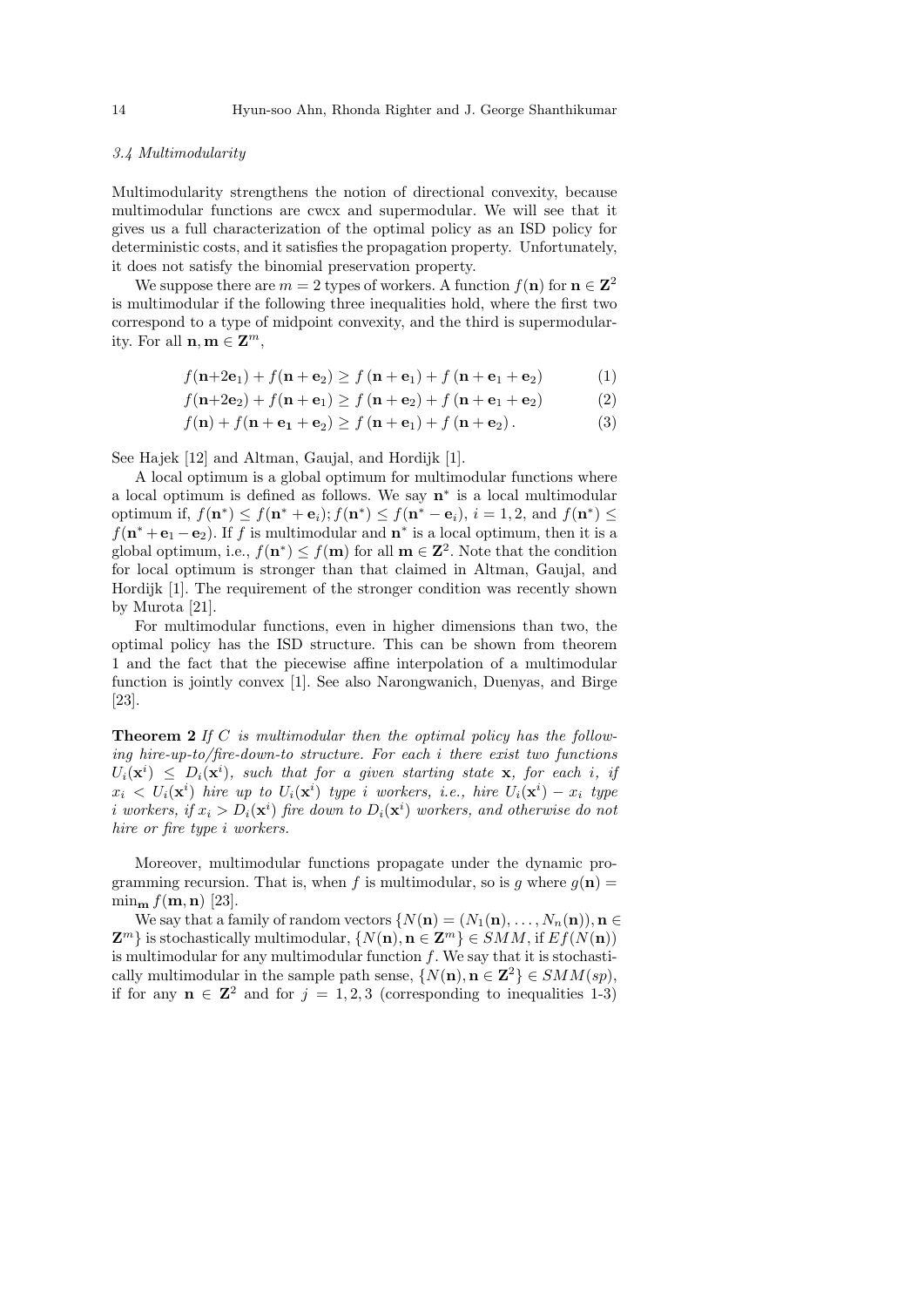## 3.4 Multimodularity

Multimodularity strengthens the notion of directional convexity, because multimodular functions are cwcx and supermodular. We will see that it gives us a full characterization of the optimal policy as an ISD policy for deterministic costs, and it satisfies the propagation property. Unfortunately, it does not satisfy the binomial preservation property.

We suppose there are  $m = 2$  types of workers. A function  $f(\mathbf{n})$  for  $\mathbf{n} \in \mathbb{Z}^2$ is multimodular if the following three inequalities hold, where the first two correspond to a type of midpoint convexity, and the third is supermodularity. For all  $\mathbf{n}, \mathbf{m} \in \mathbf{Z}^m$ ,

$$
f(\mathbf{n}+2\mathbf{e}_1) + f(\mathbf{n}+\mathbf{e}_2) \ge f(\mathbf{n}+\mathbf{e}_1) + f(\mathbf{n}+\mathbf{e}_1+\mathbf{e}_2)
$$
 (1)

$$
f(\mathbf{n}+2\mathbf{e}_2) + f(\mathbf{n}+\mathbf{e}_1) \ge f(\mathbf{n}+\mathbf{e}_2) + f(\mathbf{n}+\mathbf{e}_1+\mathbf{e}_2)
$$
 (2)

$$
f(\mathbf{n}) + f(\mathbf{n} + \mathbf{e}_1 + \mathbf{e}_2) \ge f(\mathbf{n} + \mathbf{e}_1) + f(\mathbf{n} + \mathbf{e}_2).
$$
 (3)

See Hajek [12] and Altman, Gaujal, and Hordijk [1].

A local optimum is a global optimum for multimodular functions where a local optimum is defined as follows. We say  $n^*$  is a local multimodular optimum if,  $f(\mathbf{n}^*) \leq f(\mathbf{n}^* + \mathbf{e}_i)$ ;  $f(\mathbf{n}^*) \leq f(\mathbf{n}^* - \mathbf{e}_i)$ ,  $i = 1, 2$ , and  $f(\mathbf{n}^*) \leq$  $f(\mathbf{n}^*+\mathbf{e}_1-\mathbf{e}_2)$ . If f is multimodular and  $\mathbf{n}^*$  is a local optimum, then it is a global optimum, i.e.,  $f(\mathbf{n}^*) \leq f(\mathbf{m})$  for all  $\mathbf{m} \in \mathbf{Z}^2$ . Note that the condition for local optimum is stronger than that claimed in Altman, Gaujal, and Hordijk [1]. The requirement of the stronger condition was recently shown by Murota [21].

For multimodular functions, even in higher dimensions than two, the optimal policy has the ISD structure. This can be shown from theorem 1 and the fact that the piecewise affine interpolation of a multimodular function is jointly convex [1]. See also Narongwanich, Duenyas, and Birge [23].

**Theorem 2** If C is multimodular then the optimal policy has the following hire-up-to/fire-down-to structure. For each i there exist two functions  $U_i(\mathbf{x}^i) \leq D_i(\mathbf{x}^i)$ , such that for a given starting state  $\mathbf{x}$ , for each i, if  $x_i \ll U_i(\mathbf{x}^i)$  hire up to  $U_i(\mathbf{x}^i)$  type i workers, i.e., hire  $U_i(\mathbf{x}^i) - x_i$  type *i* workers, if  $x_i > D_i(\mathbf{x}^i)$  fire down to  $D_i(\mathbf{x}^i)$  workers, and otherwise do not hire or fire type i workers.

Moreover, multimodular functions propagate under the dynamic programming recursion. That is, when f is multimodular, so is g where  $g(n)$  $\min_{\mathbf{m}} f(\mathbf{m}, \mathbf{n})$  [23].

We say that a family of random vectors  $\{N(\mathbf{n}) = (N_1(\mathbf{n}), \ldots, N_n(\mathbf{n})), \mathbf{n} \in$  $\mathbf{Z}^m$  is stochastically multimodular,  $\{N(\mathbf{n}), \mathbf{n} \in \mathbf{Z}^m\} \in \mathcal{S}MM$ , if  $Ef(N(\mathbf{n}))$ is multimodular for any multimodular function  $f$ . We say that it is stochastically multimodular in the sample path sense,  $\{N(\mathbf{n}), \mathbf{n} \in \mathbb{Z}^2\} \in \mathcal{SMM}(sp)$ , if for any  $\mathbf{n} \in \mathbb{Z}^2$  and for  $j = 1, 2, 3$  (corresponding to inequalities 1-3)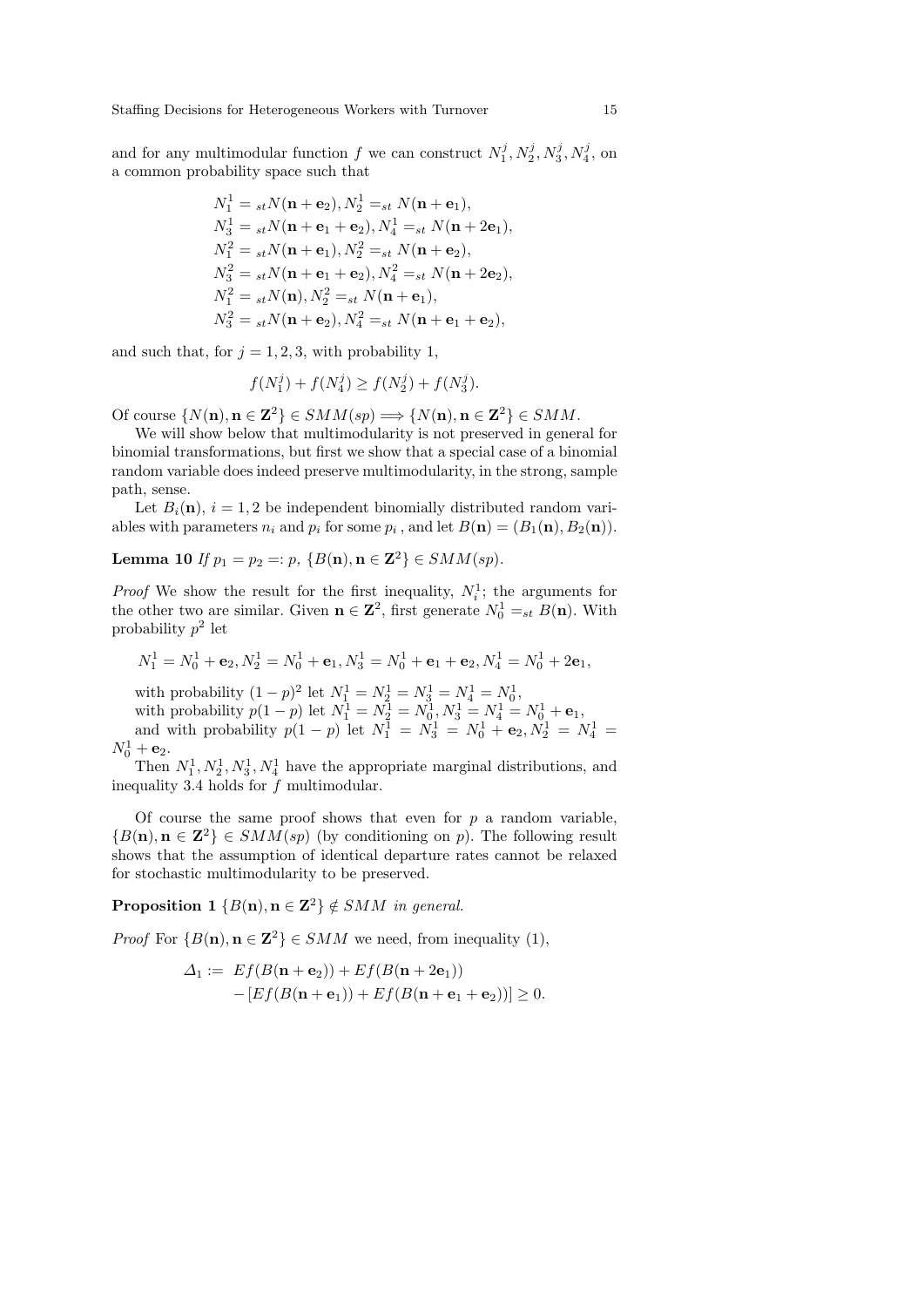and for any multimodular function  $f$  we can construct  $N_1^j, N_2^j, N_3^j, N_4^j$ , on a common probability space such that

$$
N_1^1 = {}_{st}N(\mathbf{n} + \mathbf{e}_2), N_2^1 = {}_{st}N(\mathbf{n} + \mathbf{e}_1),
$$
  
\n
$$
N_3^1 = {}_{st}N(\mathbf{n} + \mathbf{e}_1 + \mathbf{e}_2), N_4^1 = {}_{st}N(\mathbf{n} + 2\mathbf{e}_1),
$$
  
\n
$$
N_1^2 = {}_{st}N(\mathbf{n} + \mathbf{e}_1), N_2^2 = {}_{st}N(\mathbf{n} + \mathbf{e}_2),
$$
  
\n
$$
N_3^2 = {}_{st}N(\mathbf{n} + \mathbf{e}_1 + \mathbf{e}_2), N_4^2 = {}_{st}N(\mathbf{n} + 2\mathbf{e}_2),
$$
  
\n
$$
N_1^2 = {}_{st}N(\mathbf{n}), N_2^2 = {}_{st}N(\mathbf{n} + \mathbf{e}_1),
$$
  
\n
$$
N_3^2 = {}_{st}N(\mathbf{n} + \mathbf{e}_2), N_4^2 = {}_{st}N(\mathbf{n} + \mathbf{e}_1 + \mathbf{e}_2),
$$

and such that, for  $j = 1, 2, 3$ , with probability 1,

$$
f(N_1^j) + f(N_4^j) \ge f(N_2^j) + f(N_3^j).
$$

Of course  $\{N(\mathbf{n}), \mathbf{n} \in \mathbb{Z}^2\} \in \mathcal{SMM}(sp) \Longrightarrow \{N(\mathbf{n}), \mathbf{n} \in \mathbb{Z}^2\} \in \mathcal{SMM}.$ 

We will show below that multimodularity is not preserved in general for binomial transformations, but first we show that a special case of a binomial random variable does indeed preserve multimodularity, in the strong, sample path, sense.

Let  $B_i(n)$ ,  $i = 1, 2$  be independent binomially distributed random variables with parameters  $n_i$  and  $p_i$  for some  $p_i$ , and let  $B(\mathbf{n}) = (B_1(\mathbf{n}), B_2(\mathbf{n})).$ 

Lemma 10 If  $p_1 = p_2 =: p$ ,  $\{B(n), n \in \mathbb{Z}^2\} \in \mathcal{SMM}(sp)$ .

*Proof* We show the result for the first inequality,  $N_i^1$ ; the arguments for the other two are similar. Given  $\mathbf{n} \in \mathbb{Z}^2$ , first generate  $N_0^1 =_{st} B(\mathbf{n})$ . With probability  $p^2$  let

$$
N_1^1 = N_0^1 + \mathbf{e}_2, N_2^1 = N_0^1 + \mathbf{e}_1, N_3^1 = N_0^1 + \mathbf{e}_1 + \mathbf{e}_2, N_4^1 = N_0^1 + 2\mathbf{e}_1,
$$

with probability  $(1-p)^2$  let  $N_1^1 = N_2^1 = N_3^1 = N_4^1 = N_0^1$ ,

with probability  $p(1-p)$  let  $N_1^1 = N_2^1 = N_0^1, N_3^1 = N_4^1 = N_0^1 + \mathbf{e}_1$ , and with probability  $p(1-p)$  let  $N_1^1 = N_3^1 = N_0^1 + \mathbf{e}_2, N_2^1 = N_4^1 =$  $N_0^1 + e_2.$ 

Then  $N_1^1, N_2^1, N_3^1, N_4^1$  have the appropriate marginal distributions, and inequality 3.4 holds for f multimodular.

Of course the same proof shows that even for  $p$  a random variable,  ${B(n), n \in \mathbb{Z}^2} \in \mathcal{SMM}(sp)$  (by conditioning on p). The following result shows that the assumption of identical departure rates cannot be relaxed for stochastic multimodularity to be preserved.

**Proposition 1**  $\{B(\mathbf{n}), \mathbf{n} \in \mathbb{Z}^2\} \notin SMM$  in general.

*Proof* For  $\{B(\mathbf{n}), \mathbf{n} \in \mathbb{Z}^2\} \in \mathcal{S}MM$  we need, from inequality (1),

$$
\Delta_1 := Ef(B(\mathbf{n} + \mathbf{e}_2)) + Ef(B(\mathbf{n} + 2\mathbf{e}_1))
$$
  
- 
$$
[Ef(B(\mathbf{n} + \mathbf{e}_1)) + Ef(B(\mathbf{n} + \mathbf{e}_1 + \mathbf{e}_2))] \ge 0.
$$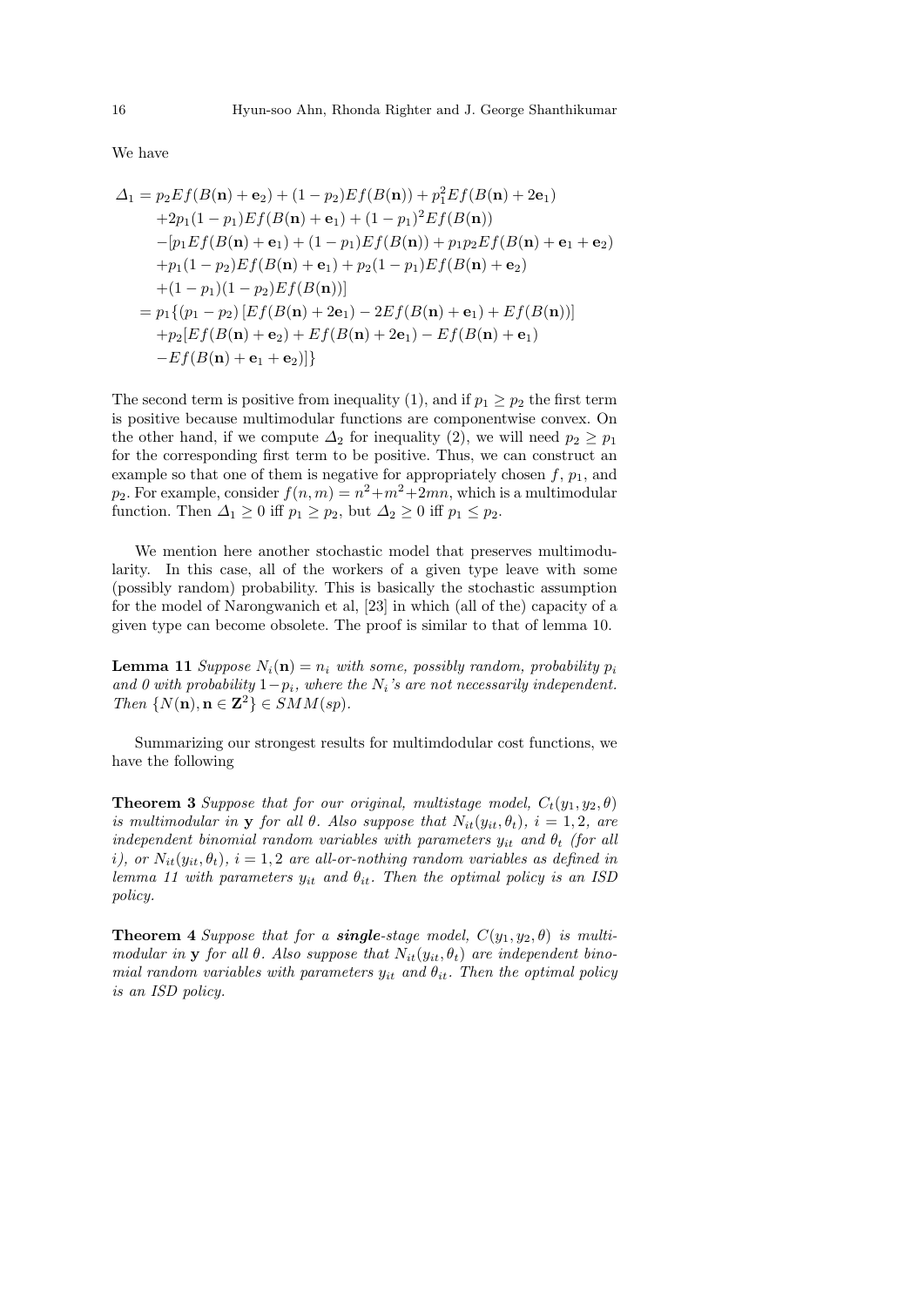We have

$$
\Delta_1 = p_2Ef(B(\mathbf{n}) + \mathbf{e}_2) + (1 - p_2)Ef(B(\mathbf{n})) + p_1^2Ef(B(\mathbf{n}) + 2\mathbf{e}_1)
$$
  
+2p<sub>1</sub>(1 - p<sub>1</sub>)Ef(B(\mathbf{n}) + \mathbf{e}\_1) + (1 - p\_1)^2Ef(B(\mathbf{n}))  
-[p<sub>1</sub>Ef(B(\mathbf{n}) + \mathbf{e}\_1) + (1 - p\_1)Ef(B(\mathbf{n})) + p\_1p\_2Ef(B(\mathbf{n}) + \mathbf{e}\_1 + \mathbf{e}\_2)  
+p<sub>1</sub>(1 - p<sub>2</sub>)Ef(B(\mathbf{n}) + \mathbf{e}\_1) + p<sub>2</sub>(1 - p<sub>1</sub>)Ef(B(\mathbf{n}) + \mathbf{e}\_2)  
+ (1 - p<sub>1</sub>)(1 - p<sub>2</sub>)Ef(B(\mathbf{n}))]  
= p<sub>1</sub>{(p<sub>1</sub> - p<sub>2</sub>) [Ef(B(\mathbf{n}) + 2\mathbf{e}\_1) - 2Ef(B(\mathbf{n}) + \mathbf{e}\_1) + Ef(B(\mathbf{n}))]  
+p<sub>2</sub>[Ef(B(\mathbf{n}) + \mathbf{e}\_2) + Ef(B(\mathbf{n}) + 2\mathbf{e}\_1) - Ef(B(\mathbf{n}) + \mathbf{e}\_1)  
-Ef(B(\mathbf{n}) + \mathbf{e}\_1 + \mathbf{e}\_2)]}

The second term is positive from inequality (1), and if  $p_1 \geq p_2$  the first term is positive because multimodular functions are componentwise convex. On the other hand, if we compute  $\Delta_2$  for inequality (2), we will need  $p_2 \geq p_1$ for the corresponding first term to be positive. Thus, we can construct an example so that one of them is negative for appropriately chosen  $f, p_1$ , and  $p_2$ . For example, consider  $f(n,m) = n^2 + m^2 + 2mn$ , which is a multimodular function. Then  $\Delta_1 \geq 0$  iff  $p_1 \geq p_2$ , but  $\Delta_2 \geq 0$  iff  $p_1 \leq p_2$ .

We mention here another stochastic model that preserves multimodularity. In this case, all of the workers of a given type leave with some (possibly random) probability. This is basically the stochastic assumption for the model of Narongwanich et al, [23] in which (all of the) capacity of a given type can become obsolete. The proof is similar to that of lemma 10.

**Lemma 11** Suppose  $N_i(\mathbf{n}) = n_i$  with some, possibly random, probability  $p_i$ and 0 with probability  $1-p_i$ , where the  $N_i$ 's are not necessarily independent. Then  $\{N(\mathbf{n}), \mathbf{n} \in \mathbb{Z}^2\} \in \mathcal{S}MM(sp).$ 

Summarizing our strongest results for multimdodular cost functions, we have the following

**Theorem 3** Suppose that for our original, multistage model,  $C_t(y_1, y_2, \theta)$ is multimodular in **y** for all  $\theta$ . Also suppose that  $N_{it}(y_{it}, \theta_t)$ ,  $i = 1, 2$ , are independent binomial random variables with parameters  $y_{it}$  and  $\theta_t$  (for all i), or  $N_{it}(y_{it}, \theta_t)$ ,  $i = 1, 2$  are all-or-nothing random variables as defined in lemma 11 with parameters  $y_{it}$  and  $\theta_{it}$ . Then the optimal policy is an ISD policy.

**Theorem 4** Suppose that for a **single**-stage model,  $C(y_1, y_2, \theta)$  is multimodular in y for all  $\theta$ . Also suppose that  $N_{it}(y_{it}, \theta_t)$  are independent binomial random variables with parameters  $y_{it}$  and  $\theta_{it}$ . Then the optimal policy is an ISD policy.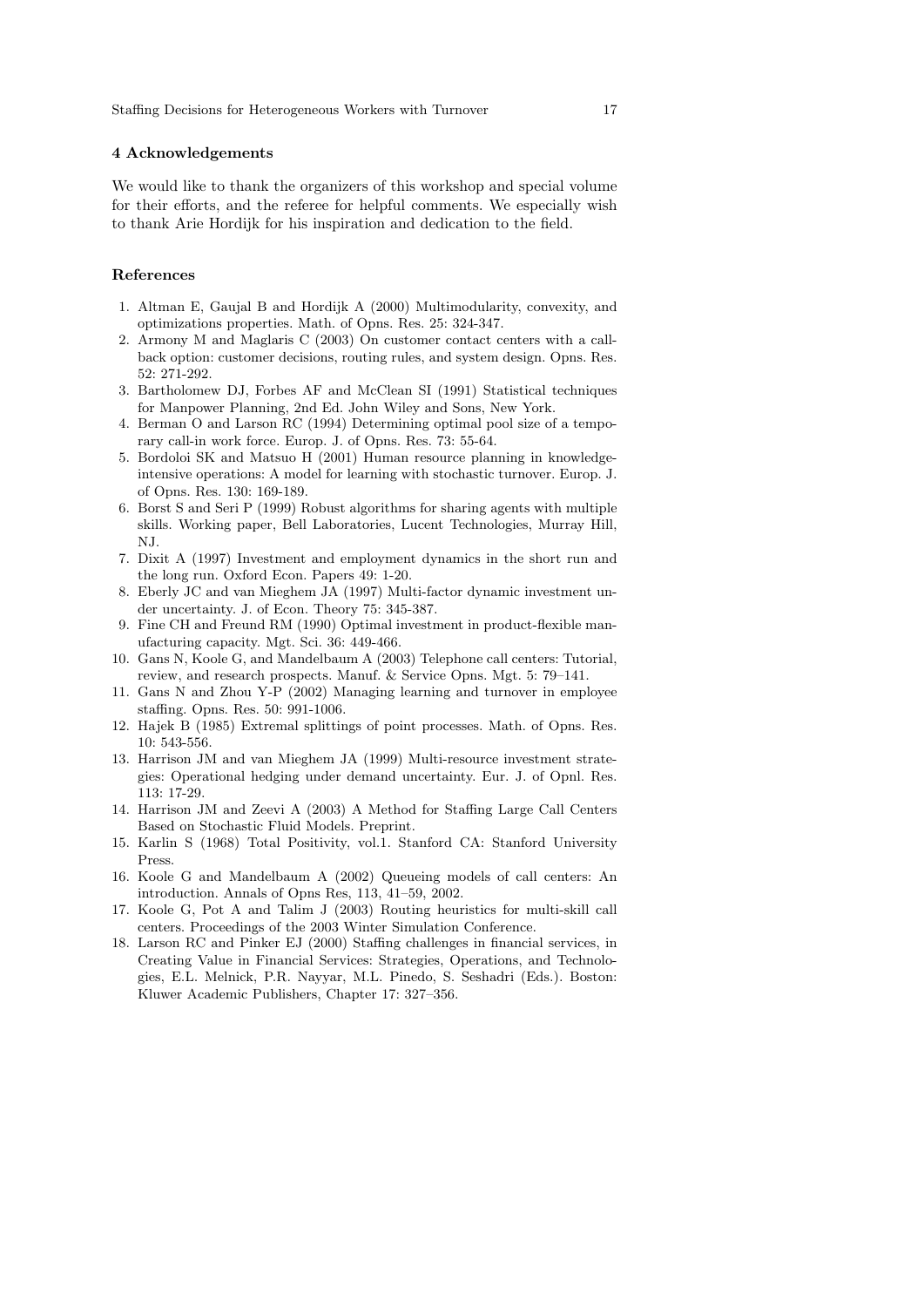#### 4 Acknowledgements

We would like to thank the organizers of this workshop and special volume for their efforts, and the referee for helpful comments. We especially wish to thank Arie Hordijk for his inspiration and dedication to the field.

#### References

- 1. Altman E, Gaujal B and Hordijk A (2000) Multimodularity, convexity, and optimizations properties. Math. of Opns. Res. 25: 324-347.
- 2. Armony M and Maglaris C (2003) On customer contact centers with a callback option: customer decisions, routing rules, and system design. Opns. Res. 52: 271-292.
- 3. Bartholomew DJ, Forbes AF and McClean SI (1991) Statistical techniques for Manpower Planning, 2nd Ed. John Wiley and Sons, New York.
- 4. Berman O and Larson RC (1994) Determining optimal pool size of a temporary call-in work force. Europ. J. of Opns. Res. 73: 55-64.
- 5. Bordoloi SK and Matsuo H (2001) Human resource planning in knowledgeintensive operations: A model for learning with stochastic turnover. Europ. J. of Opns. Res. 130: 169-189.
- 6. Borst S and Seri P (1999) Robust algorithms for sharing agents with multiple skills. Working paper, Bell Laboratories, Lucent Technologies, Murray Hill, NJ.
- 7. Dixit A (1997) Investment and employment dynamics in the short run and the long run. Oxford Econ. Papers 49: 1-20.
- 8. Eberly JC and van Mieghem JA (1997) Multi-factor dynamic investment under uncertainty. J. of Econ. Theory 75: 345-387.
- 9. Fine CH and Freund RM (1990) Optimal investment in product-flexible manufacturing capacity. Mgt. Sci. 36: 449-466.
- 10. Gans N, Koole G, and Mandelbaum A (2003) Telephone call centers: Tutorial, review, and research prospects. Manuf. & Service Opns. Mgt. 5: 79–141.
- 11. Gans N and Zhou Y-P (2002) Managing learning and turnover in employee staffing. Opns. Res. 50: 991-1006.
- 12. Hajek B (1985) Extremal splittings of point processes. Math. of Opns. Res. 10: 543-556.
- 13. Harrison JM and van Mieghem JA (1999) Multi-resource investment strategies: Operational hedging under demand uncertainty. Eur. J. of Opnl. Res. 113: 17-29.
- 14. Harrison JM and Zeevi A (2003) A Method for Staffing Large Call Centers Based on Stochastic Fluid Models. Preprint.
- 15. Karlin S (1968) Total Positivity, vol.1. Stanford CA: Stanford University Press.
- 16. Koole G and Mandelbaum A (2002) Queueing models of call centers: An introduction. Annals of Opns Res, 113, 41–59, 2002.
- 17. Koole G, Pot A and Talim J (2003) Routing heuristics for multi-skill call centers. Proceedings of the 2003 Winter Simulation Conference.
- 18. Larson RC and Pinker EJ (2000) Staffing challenges in financial services, in Creating Value in Financial Services: Strategies, Operations, and Technologies, E.L. Melnick, P.R. Nayyar, M.L. Pinedo, S. Seshadri (Eds.). Boston: Kluwer Academic Publishers, Chapter 17: 327–356.